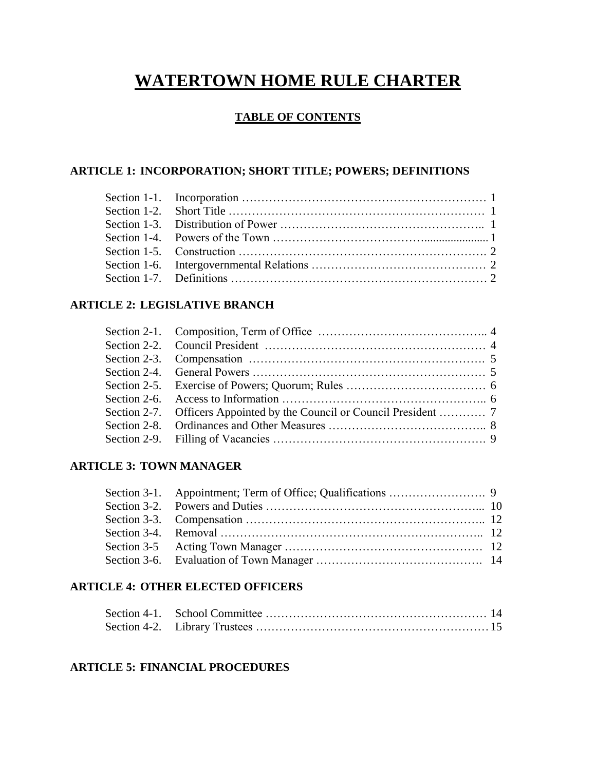# **WATERTOWN HOME RULE CHARTER**

## **TABLE OF CONTENTS**

## **ARTICLE 1: INCORPORATION; SHORT TITLE; POWERS; DEFINITIONS**

## **ARTICLE 2: LEGISLATIVE BRANCH**

## **ARTICLE 3: TOWN MANAGER**

## **ARTICLE 4: OTHER ELECTED OFFICERS**

## **ARTICLE 5: FINANCIAL PROCEDURES**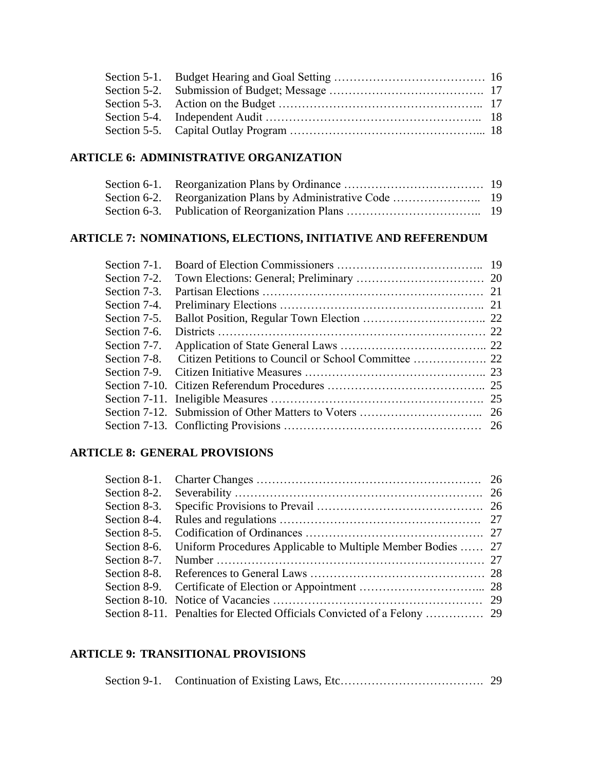# **ARTICLE 6: ADMINISTRATIVE ORGANIZATION**

## **ARTICLE 7: NOMINATIONS, ELECTIONS, INITIATIVE AND REFERENDUM**

| Section 7-1. |  |
|--------------|--|
| Section 7-2. |  |
| Section 7-3. |  |
| Section 7-4. |  |
| Section 7-5. |  |
| Section 7-6. |  |
| Section 7-7. |  |
| Section 7-8. |  |
| Section 7-9. |  |
|              |  |
|              |  |
|              |  |
|              |  |
|              |  |

## **ARTICLE 8: GENERAL PROVISIONS**

| Section 8-1. |                                                             |  |
|--------------|-------------------------------------------------------------|--|
| Section 8-2. |                                                             |  |
| Section 8-3. |                                                             |  |
| Section 8-4. |                                                             |  |
| Section 8-5. |                                                             |  |
| Section 8-6. | Uniform Procedures Applicable to Multiple Member Bodies  27 |  |
| Section 8-7. |                                                             |  |
|              |                                                             |  |
|              |                                                             |  |
|              |                                                             |  |
|              |                                                             |  |

## **ARTICLE 9: TRANSITIONAL PROVISIONS**

|--|--|--|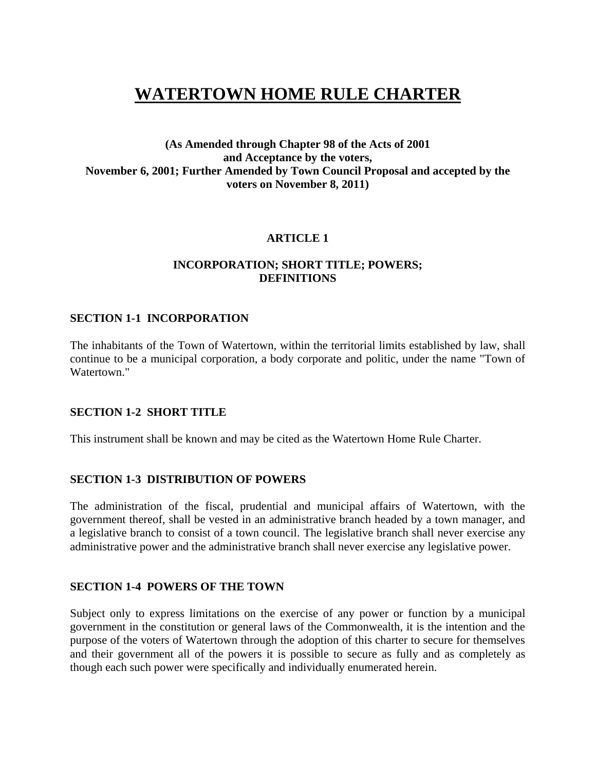# **WATERTOWN HOME RULE CHARTER**

## **(As Amended through Chapter 98 of the Acts of 2001 and Acceptance by the voters, November 6, 2001; Further Amended by Town Council Proposal and accepted by the voters on November 8, 2011)**

## **ARTICLE 1**

### **INCORPORATION; SHORT TITLE; POWERS; DEFINITIONS**

#### **SECTION 1-1 INCORPORATION**

The inhabitants of the Town of Watertown, within the territorial limits established by law, shall continue to be a municipal corporation, a body corporate and politic, under the name "Town of Watertown."

#### **SECTION 1-2 SHORT TITLE**

This instrument shall be known and may be cited as the Watertown Home Rule Charter.

#### **SECTION 1-3 DISTRIBUTION OF POWERS**

The administration of the fiscal, prudential and municipal affairs of Watertown, with the government thereof, shall be vested in an administrative branch headed by a town manager, and a legislative branch to consist of a town council. The legislative branch shall never exercise any administrative power and the administrative branch shall never exercise any legislative power.

#### **SECTION 1-4 POWERS OF THE TOWN**

Subject only to express limitations on the exercise of any power or function by a municipal government in the constitution or general laws of the Commonwealth, it is the intention and the purpose of the voters of Watertown through the adoption of this charter to secure for themselves and their government all of the powers it is possible to secure as fully and as completely as though each such power were specifically and individually enumerated herein.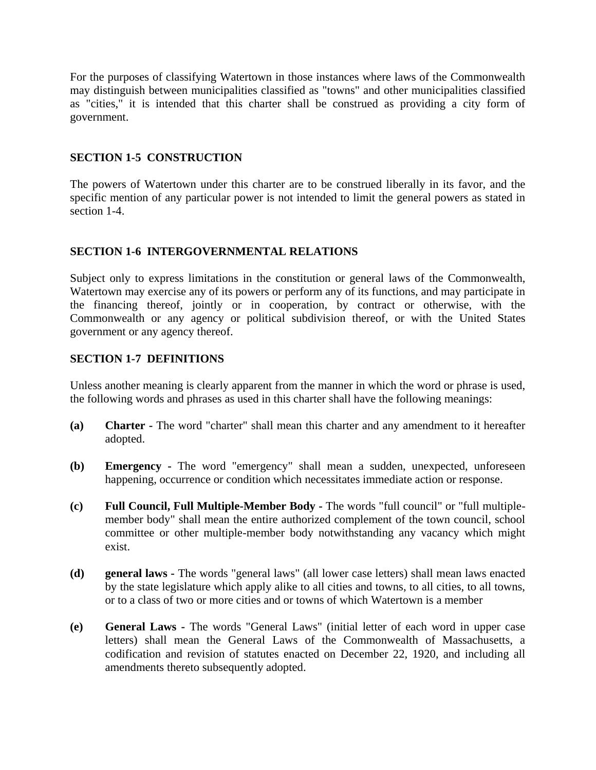For the purposes of classifying Watertown in those instances where laws of the Commonwealth may distinguish between municipalities classified as "towns" and other municipalities classified as "cities," it is intended that this charter shall be construed as providing a city form of government.

## **SECTION 1-5 CONSTRUCTION**

The powers of Watertown under this charter are to be construed liberally in its favor, and the specific mention of any particular power is not intended to limit the general powers as stated in section 1-4.

### **SECTION 1-6 INTERGOVERNMENTAL RELATIONS**

Subject only to express limitations in the constitution or general laws of the Commonwealth, Watertown may exercise any of its powers or perform any of its functions, and may participate in the financing thereof, jointly or in cooperation, by contract or otherwise, with the Commonwealth or any agency or political subdivision thereof, or with the United States government or any agency thereof.

### **SECTION 1-7 DEFINITIONS**

Unless another meaning is clearly apparent from the manner in which the word or phrase is used, the following words and phrases as used in this charter shall have the following meanings:

- **(a) Charter -** The word "charter" shall mean this charter and any amendment to it hereafter adopted.
- **(b) Emergency -** The word "emergency" shall mean a sudden, unexpected, unforeseen happening, occurrence or condition which necessitates immediate action or response.
- **(c) Full Council, Full Multiple-Member Body -** The words "full council" or "full multiplemember body" shall mean the entire authorized complement of the town council, school committee or other multiple-member body notwithstanding any vacancy which might exist.
- **(d) general laws -** The words "general laws" (all lower case letters) shall mean laws enacted by the state legislature which apply alike to all cities and towns, to all cities, to all towns, or to a class of two or more cities and or towns of which Watertown is a member
- **(e) General Laws -** The words "General Laws" (initial letter of each word in upper case letters) shall mean the General Laws of the Commonwealth of Massachusetts, a codification and revision of statutes enacted on December 22, 1920, and including all amendments thereto subsequently adopted.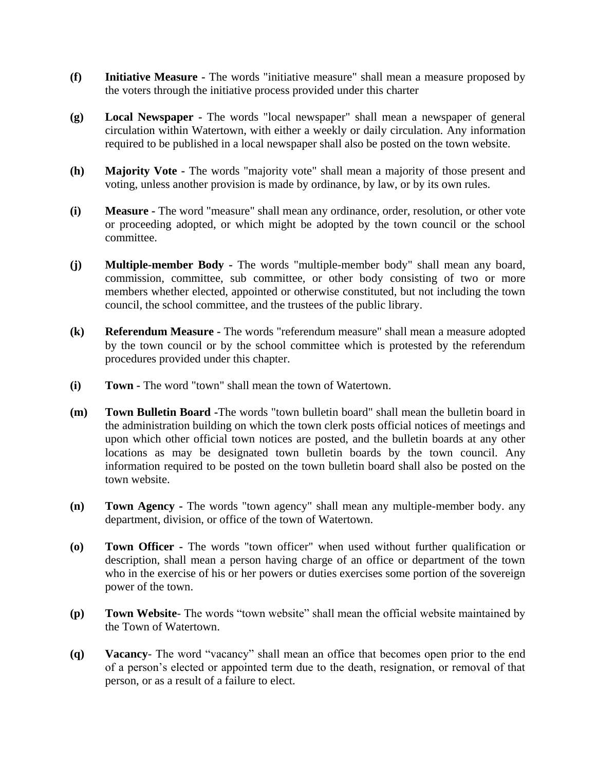- **(f) Initiative Measure -** The words "initiative measure" shall mean a measure proposed by the voters through the initiative process provided under this charter
- **(g) Local Newspaper -** The words "local newspaper" shall mean a newspaper of general circulation within Watertown, with either a weekly or daily circulation. Any information required to be published in a local newspaper shall also be posted on the town website.
- **(h) Majority Vote -** The words "majority vote" shall mean a majority of those present and voting, unless another provision is made by ordinance, by law, or by its own rules.
- **(i) Measure -** The word "measure" shall mean any ordinance, order, resolution, or other vote or proceeding adopted, or which might be adopted by the town council or the school committee.
- **(j) Multiple-member Body -** The words "multiple-member body" shall mean any board, commission, committee, sub committee, or other body consisting of two or more members whether elected, appointed or otherwise constituted, but not including the town council, the school committee, and the trustees of the public library.
- **(k) Referendum Measure -** The words "referendum measure" shall mean a measure adopted by the town council or by the school committee which is protested by the referendum procedures provided under this chapter.
- **(i) Town -** The word "town" shall mean the town of Watertown.
- **(m) Town Bulletin Board -**The words "town bulletin board" shall mean the bulletin board in the administration building on which the town clerk posts official notices of meetings and upon which other official town notices are posted, and the bulletin boards at any other locations as may be designated town bulletin boards by the town council. Any information required to be posted on the town bulletin board shall also be posted on the town website.
- **(n) Town Agency -** The words "town agency" shall mean any multiple-member body. any department, division, or office of the town of Watertown.
- **(o) Town Officer -** The words "town officer" when used without further qualification or description, shall mean a person having charge of an office or department of the town who in the exercise of his or her powers or duties exercises some portion of the sovereign power of the town.
- **(p) Town Website** The words "town website" shall mean the official website maintained by the Town of Watertown.
- **(q) Vacancy** The word "vacancy" shall mean an office that becomes open prior to the end of a person's elected or appointed term due to the death, resignation, or removal of that person, or as a result of a failure to elect.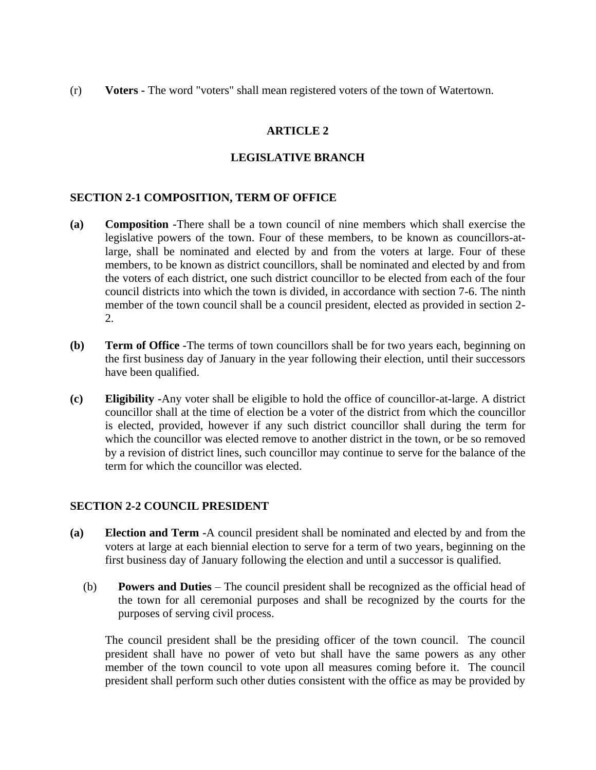(r) **Voters -** The word "voters" shall mean registered voters of the town of Watertown.

## **ARTICLE 2**

### **LEGISLATIVE BRANCH**

### **SECTION 2-1 COMPOSITION, TERM OF OFFICE**

- **(a) Composition -**There shall be a town council of nine members which shall exercise the legislative powers of the town. Four of these members, to be known as councillors-atlarge, shall be nominated and elected by and from the voters at large. Four of these members, to be known as district councillors, shall be nominated and elected by and from the voters of each district, one such district councillor to be elected from each of the four council districts into which the town is divided, in accordance with section 7-6. The ninth member of the town council shall be a council president, elected as provided in section 2- 2.
- **(b) Term of Office -**The terms of town councillors shall be for two years each, beginning on the first business day of January in the year following their election, until their successors have been qualified.
- **(c) Eligibility -**Any voter shall be eligible to hold the office of councillor-at-large. A district councillor shall at the time of election be a voter of the district from which the councillor is elected, provided, however if any such district councillor shall during the term for which the councillor was elected remove to another district in the town, or be so removed by a revision of district lines, such councillor may continue to serve for the balance of the term for which the councillor was elected.

#### **SECTION 2-2 COUNCIL PRESIDENT**

- **(a) Election and Term -**A council president shall be nominated and elected by and from the voters at large at each biennial election to serve for a term of two years, beginning on the first business day of January following the election and until a successor is qualified.
	- (b) **Powers and Duties** The council president shall be recognized as the official head of the town for all ceremonial purposes and shall be recognized by the courts for the purposes of serving civil process.

The council president shall be the presiding officer of the town council. The council president shall have no power of veto but shall have the same powers as any other member of the town council to vote upon all measures coming before it. The council president shall perform such other duties consistent with the office as may be provided by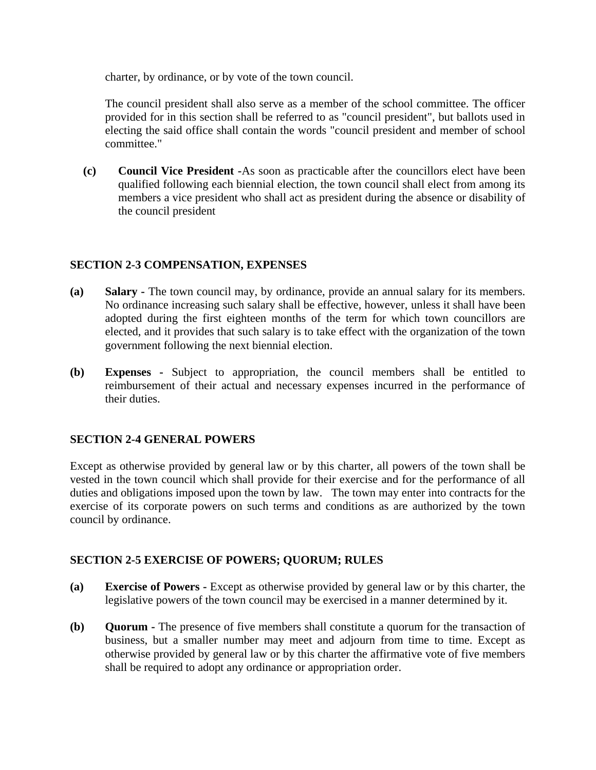charter, by ordinance, or by vote of the town council.

The council president shall also serve as a member of the school committee. The officer provided for in this section shall be referred to as "council president", but ballots used in electing the said office shall contain the words "council president and member of school committee."

**(c) Council Vice President -**As soon as practicable after the councillors elect have been qualified following each biennial election, the town council shall elect from among its members a vice president who shall act as president during the absence or disability of the council president

## **SECTION 2-3 COMPENSATION, EXPENSES**

- **(a) Salary -** The town council may, by ordinance, provide an annual salary for its members. No ordinance increasing such salary shall be effective, however, unless it shall have been adopted during the first eighteen months of the term for which town councillors are elected, and it provides that such salary is to take effect with the organization of the town government following the next biennial election.
- **(b) Expenses -** Subject to appropriation, the council members shall be entitled to reimbursement of their actual and necessary expenses incurred in the performance of their duties.

## **SECTION 2-4 GENERAL POWERS**

Except as otherwise provided by general law or by this charter, all powers of the town shall be vested in the town council which shall provide for their exercise and for the performance of all duties and obligations imposed upon the town by law. The town may enter into contracts for the exercise of its corporate powers on such terms and conditions as are authorized by the town council by ordinance.

## **SECTION 2-5 EXERCISE OF POWERS; QUORUM; RULES**

- **(a) Exercise of Powers -** Except as otherwise provided by general law or by this charter, the legislative powers of the town council may be exercised in a manner determined by it.
- **(b) Quorum -** The presence of five members shall constitute a quorum for the transaction of business, but a smaller number may meet and adjourn from time to time. Except as otherwise provided by general law or by this charter the affirmative vote of five members shall be required to adopt any ordinance or appropriation order.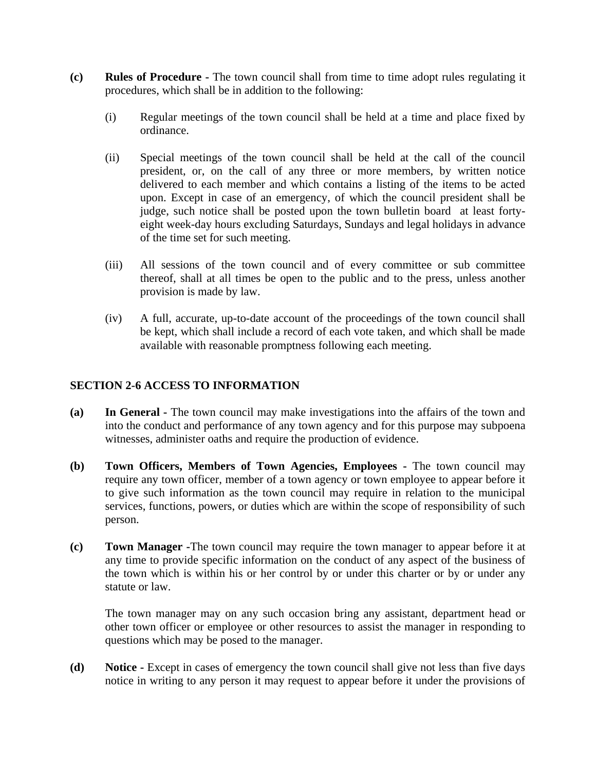- **(c) Rules of Procedure -** The town council shall from time to time adopt rules regulating it procedures, which shall be in addition to the following:
	- (i) Regular meetings of the town council shall be held at a time and place fixed by ordinance.
	- (ii) Special meetings of the town council shall be held at the call of the council president, or, on the call of any three or more members, by written notice delivered to each member and which contains a listing of the items to be acted upon. Except in case of an emergency, of which the council president shall be judge, such notice shall be posted upon the town bulletin board at least fortyeight week-day hours excluding Saturdays, Sundays and legal holidays in advance of the time set for such meeting.
	- (iii) All sessions of the town council and of every committee or sub committee thereof, shall at all times be open to the public and to the press, unless another provision is made by law.
	- (iv) A full, accurate, up-to-date account of the proceedings of the town council shall be kept, which shall include a record of each vote taken, and which shall be made available with reasonable promptness following each meeting.

## **SECTION 2-6 ACCESS TO INFORMATION**

- **(a) In General -** The town council may make investigations into the affairs of the town and into the conduct and performance of any town agency and for this purpose may subpoena witnesses, administer oaths and require the production of evidence.
- **(b) Town Officers, Members of Town Agencies, Employees -** The town council may require any town officer, member of a town agency or town employee to appear before it to give such information as the town council may require in relation to the municipal services, functions, powers, or duties which are within the scope of responsibility of such person.
- **(c) Town Manager -**The town council may require the town manager to appear before it at any time to provide specific information on the conduct of any aspect of the business of the town which is within his or her control by or under this charter or by or under any statute or law.

The town manager may on any such occasion bring any assistant, department head or other town officer or employee or other resources to assist the manager in responding to questions which may be posed to the manager.

**(d) Notice -** Except in cases of emergency the town council shall give not less than five days notice in writing to any person it may request to appear before it under the provisions of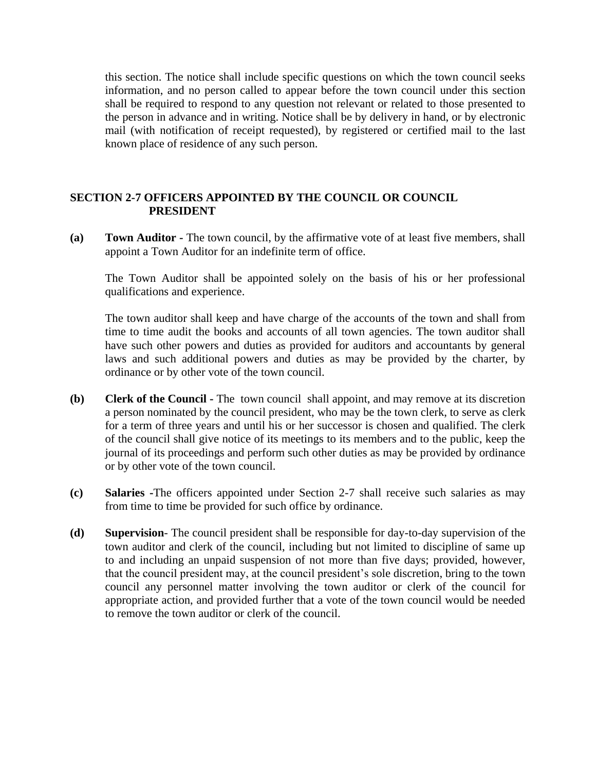this section. The notice shall include specific questions on which the town council seeks information, and no person called to appear before the town council under this section shall be required to respond to any question not relevant or related to those presented to the person in advance and in writing. Notice shall be by delivery in hand, or by electronic mail (with notification of receipt requested), by registered or certified mail to the last known place of residence of any such person.

#### **SECTION 2-7 OFFICERS APPOINTED BY THE COUNCIL OR COUNCIL PRESIDENT**

**(a) Town Auditor -** The town council, by the affirmative vote of at least five members, shall appoint a Town Auditor for an indefinite term of office.

The Town Auditor shall be appointed solely on the basis of his or her professional qualifications and experience.

The town auditor shall keep and have charge of the accounts of the town and shall from time to time audit the books and accounts of all town agencies. The town auditor shall have such other powers and duties as provided for auditors and accountants by general laws and such additional powers and duties as may be provided by the charter, by ordinance or by other vote of the town council.

- **(b) Clerk of the Council -** The town council shall appoint, and may remove at its discretion a person nominated by the council president, who may be the town clerk, to serve as clerk for a term of three years and until his or her successor is chosen and qualified. The clerk of the council shall give notice of its meetings to its members and to the public, keep the journal of its proceedings and perform such other duties as may be provided by ordinance or by other vote of the town council.
- **(c) Salaries -**The officers appointed under Section 2-7 shall receive such salaries as may from time to time be provided for such office by ordinance.
- **(d) Supervision** The council president shall be responsible for day-to-day supervision of the town auditor and clerk of the council, including but not limited to discipline of same up to and including an unpaid suspension of not more than five days; provided, however, that the council president may, at the council president's sole discretion, bring to the town council any personnel matter involving the town auditor or clerk of the council for appropriate action, and provided further that a vote of the town council would be needed to remove the town auditor or clerk of the council.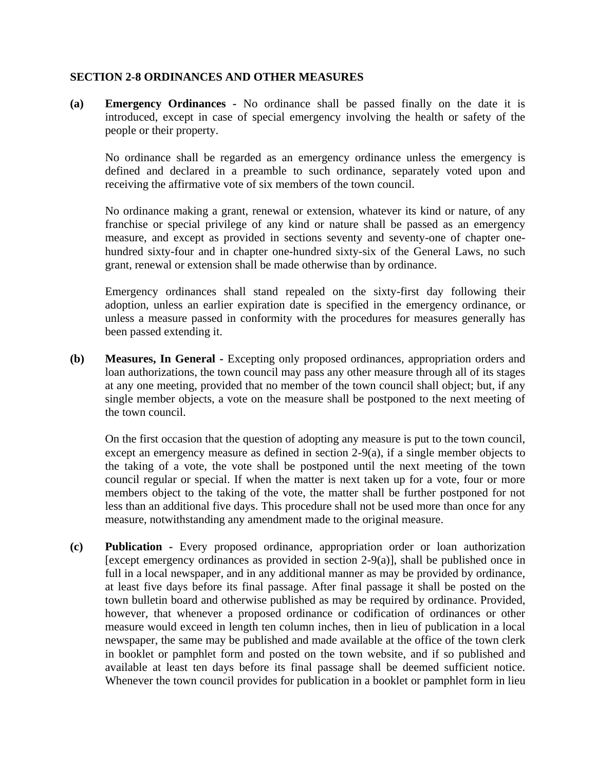#### **SECTION 2-8 ORDINANCES AND OTHER MEASURES**

**(a) Emergency Ordinances -** No ordinance shall be passed finally on the date it is introduced, except in case of special emergency involving the health or safety of the people or their property.

No ordinance shall be regarded as an emergency ordinance unless the emergency is defined and declared in a preamble to such ordinance, separately voted upon and receiving the affirmative vote of six members of the town council.

No ordinance making a grant, renewal or extension, whatever its kind or nature, of any franchise or special privilege of any kind or nature shall be passed as an emergency measure, and except as provided in sections seventy and seventy-one of chapter onehundred sixty-four and in chapter one-hundred sixty-six of the General Laws, no such grant, renewal or extension shall be made otherwise than by ordinance.

Emergency ordinances shall stand repealed on the sixty-first day following their adoption, unless an earlier expiration date is specified in the emergency ordinance, or unless a measure passed in conformity with the procedures for measures generally has been passed extending it.

**(b) Measures, In General -** Excepting only proposed ordinances, appropriation orders and loan authorizations, the town council may pass any other measure through all of its stages at any one meeting, provided that no member of the town council shall object; but, if any single member objects, a vote on the measure shall be postponed to the next meeting of the town council.

On the first occasion that the question of adopting any measure is put to the town council, except an emergency measure as defined in section 2-9(a), if a single member objects to the taking of a vote, the vote shall be postponed until the next meeting of the town council regular or special. If when the matter is next taken up for a vote, four or more members object to the taking of the vote, the matter shall be further postponed for not less than an additional five days. This procedure shall not be used more than once for any measure, notwithstanding any amendment made to the original measure.

**(c) Publication -** Every proposed ordinance, appropriation order or loan authorization [except emergency ordinances as provided in section  $2-9(a)$ ], shall be published once in full in a local newspaper, and in any additional manner as may be provided by ordinance, at least five days before its final passage. After final passage it shall be posted on the town bulletin board and otherwise published as may be required by ordinance. Provided, however, that whenever a proposed ordinance or codification of ordinances or other measure would exceed in length ten column inches, then in lieu of publication in a local newspaper, the same may be published and made available at the office of the town clerk in booklet or pamphlet form and posted on the town website, and if so published and available at least ten days before its final passage shall be deemed sufficient notice. Whenever the town council provides for publication in a booklet or pamphlet form in lieu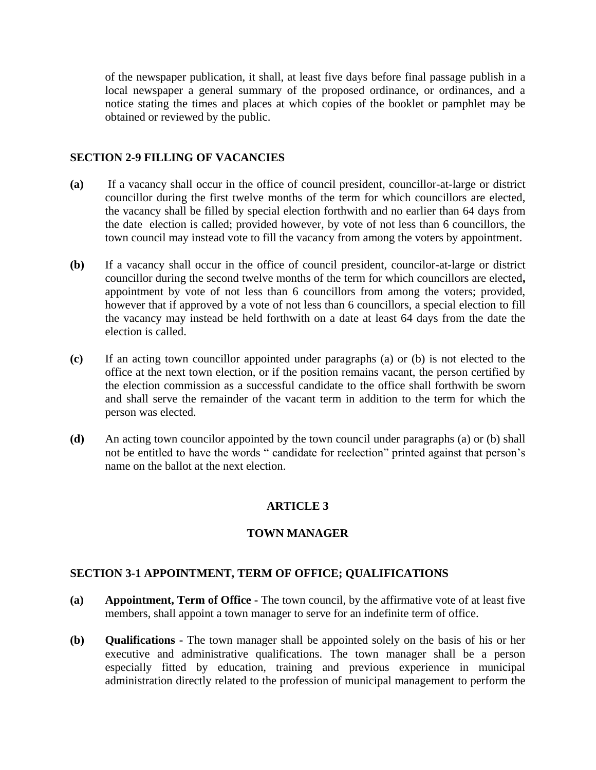of the newspaper publication, it shall, at least five days before final passage publish in a local newspaper a general summary of the proposed ordinance, or ordinances, and a notice stating the times and places at which copies of the booklet or pamphlet may be obtained or reviewed by the public.

#### **SECTION 2-9 FILLING OF VACANCIES**

- **(a)** If a vacancy shall occur in the office of council president, councillor-at-large or district councillor during the first twelve months of the term for which councillors are elected, the vacancy shall be filled by special election forthwith and no earlier than 64 days from the date election is called; provided however, by vote of not less than 6 councillors, the town council may instead vote to fill the vacancy from among the voters by appointment.
- **(b)** If a vacancy shall occur in the office of council president, councilor-at-large or district councillor during the second twelve months of the term for which councillors are elected**,**  appointment by vote of not less than 6 councillors from among the voters; provided, however that if approved by a vote of not less than 6 councillors, a special election to fill the vacancy may instead be held forthwith on a date at least 64 days from the date the election is called.
- **(c)** If an acting town councillor appointed under paragraphs (a) or (b) is not elected to the office at the next town election, or if the position remains vacant, the person certified by the election commission as a successful candidate to the office shall forthwith be sworn and shall serve the remainder of the vacant term in addition to the term for which the person was elected.
- **(d)** An acting town councilor appointed by the town council under paragraphs (a) or (b) shall not be entitled to have the words " candidate for reelection" printed against that person's name on the ballot at the next election.

## **ARTICLE 3**

#### **TOWN MANAGER**

#### **SECTION 3-1 APPOINTMENT, TERM OF OFFICE; QUALIFICATIONS**

- **(a) Appointment, Term of Office -** The town council, by the affirmative vote of at least five members, shall appoint a town manager to serve for an indefinite term of office.
- **(b) Qualifications -** The town manager shall be appointed solely on the basis of his or her executive and administrative qualifications. The town manager shall be a person especially fitted by education, training and previous experience in municipal administration directly related to the profession of municipal management to perform the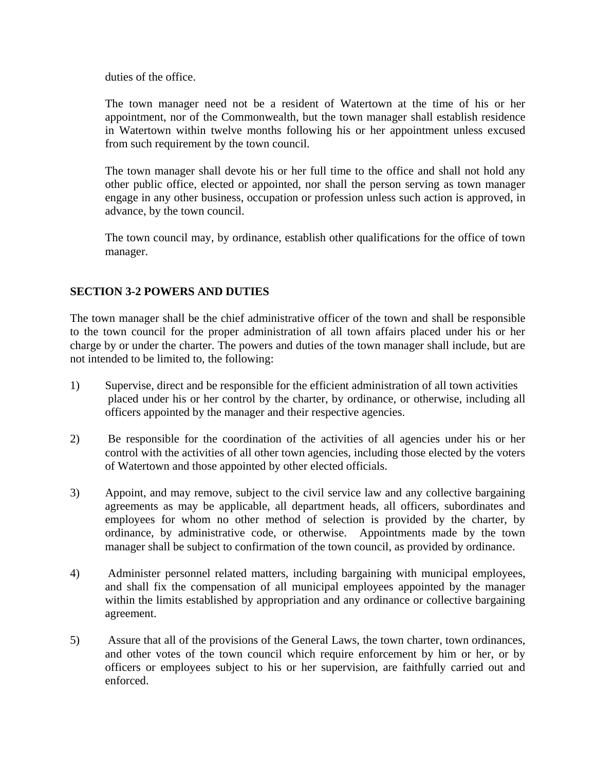duties of the office.

The town manager need not be a resident of Watertown at the time of his or her appointment, nor of the Commonwealth, but the town manager shall establish residence in Watertown within twelve months following his or her appointment unless excused from such requirement by the town council.

The town manager shall devote his or her full time to the office and shall not hold any other public office, elected or appointed, nor shall the person serving as town manager engage in any other business, occupation or profession unless such action is approved, in advance, by the town council.

The town council may, by ordinance, establish other qualifications for the office of town manager.

## **SECTION 3-2 POWERS AND DUTIES**

The town manager shall be the chief administrative officer of the town and shall be responsible to the town council for the proper administration of all town affairs placed under his or her charge by or under the charter. The powers and duties of the town manager shall include, but are not intended to be limited to, the following:

- 1) Supervise, direct and be responsible for the efficient administration of all town activities placed under his or her control by the charter, by ordinance, or otherwise, including all officers appointed by the manager and their respective agencies.
- 2) Be responsible for the coordination of the activities of all agencies under his or her control with the activities of all other town agencies, including those elected by the voters of Watertown and those appointed by other elected officials.
- 3) Appoint, and may remove, subject to the civil service law and any collective bargaining agreements as may be applicable, all department heads, all officers, subordinates and employees for whom no other method of selection is provided by the charter, by ordinance, by administrative code, or otherwise. Appointments made by the town manager shall be subject to confirmation of the town council, as provided by ordinance.
- 4) Administer personnel related matters, including bargaining with municipal employees, and shall fix the compensation of all municipal employees appointed by the manager within the limits established by appropriation and any ordinance or collective bargaining agreement.
- 5) Assure that all of the provisions of the General Laws, the town charter, town ordinances, and other votes of the town council which require enforcement by him or her, or by officers or employees subject to his or her supervision, are faithfully carried out and enforced.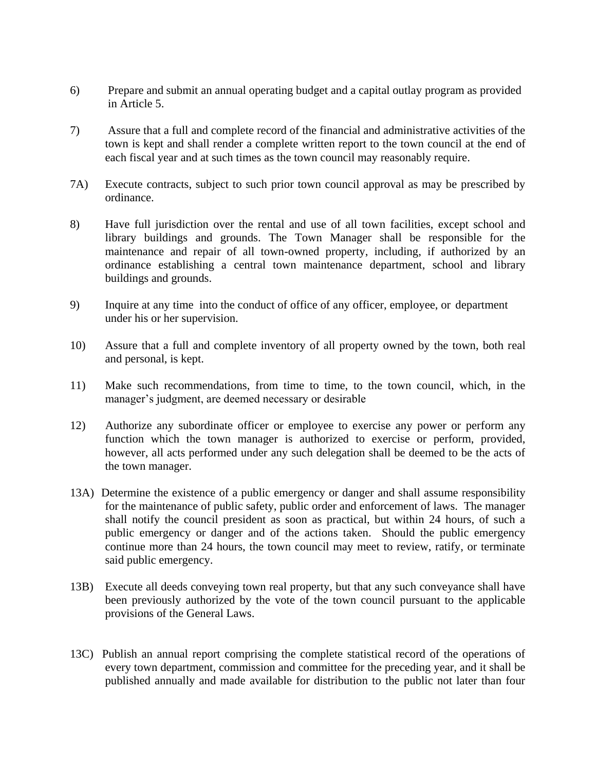- 6) Prepare and submit an annual operating budget and a capital outlay program as provided in Article 5.
- 7) Assure that a full and complete record of the financial and administrative activities of the town is kept and shall render a complete written report to the town council at the end of each fiscal year and at such times as the town council may reasonably require.
- 7A) Execute contracts, subject to such prior town council approval as may be prescribed by ordinance.
- 8) Have full jurisdiction over the rental and use of all town facilities, except school and library buildings and grounds. The Town Manager shall be responsible for the maintenance and repair of all town-owned property, including, if authorized by an ordinance establishing a central town maintenance department, school and library buildings and grounds.
- 9) Inquire at any time into the conduct of office of any officer, employee, or department under his or her supervision.
- 10) Assure that a full and complete inventory of all property owned by the town, both real and personal, is kept.
- 11) Make such recommendations, from time to time, to the town council, which, in the manager's judgment, are deemed necessary or desirable
- 12) Authorize any subordinate officer or employee to exercise any power or perform any function which the town manager is authorized to exercise or perform, provided, however, all acts performed under any such delegation shall be deemed to be the acts of the town manager.
- 13A) Determine the existence of a public emergency or danger and shall assume responsibility for the maintenance of public safety, public order and enforcement of laws. The manager shall notify the council president as soon as practical, but within 24 hours, of such a public emergency or danger and of the actions taken. Should the public emergency continue more than 24 hours, the town council may meet to review, ratify, or terminate said public emergency.
- 13B) Execute all deeds conveying town real property, but that any such conveyance shall have been previously authorized by the vote of the town council pursuant to the applicable provisions of the General Laws.
- 13C) Publish an annual report comprising the complete statistical record of the operations of every town department, commission and committee for the preceding year, and it shall be published annually and made available for distribution to the public not later than four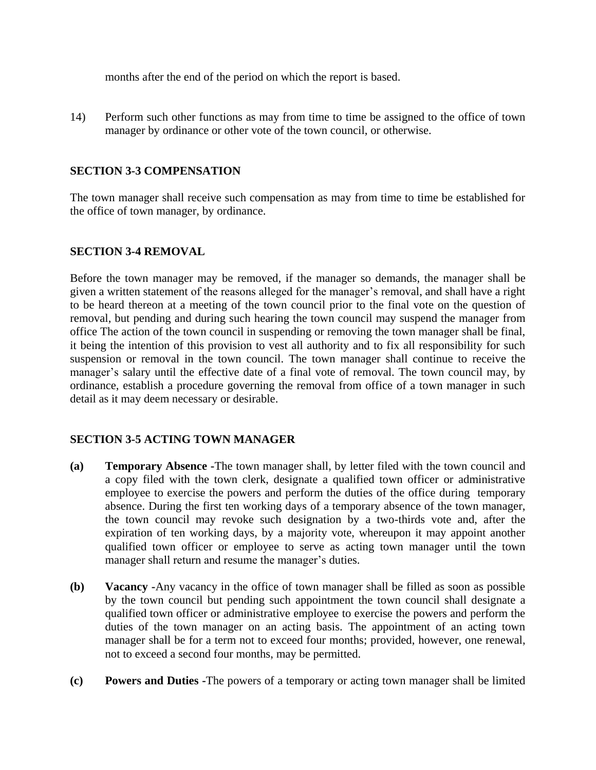months after the end of the period on which the report is based.

14) Perform such other functions as may from time to time be assigned to the office of town manager by ordinance or other vote of the town council, or otherwise.

### **SECTION 3-3 COMPENSATION**

The town manager shall receive such compensation as may from time to time be established for the office of town manager, by ordinance.

### **SECTION 3-4 REMOVAL**

Before the town manager may be removed, if the manager so demands, the manager shall be given a written statement of the reasons alleged for the manager's removal, and shall have a right to be heard thereon at a meeting of the town council prior to the final vote on the question of removal, but pending and during such hearing the town council may suspend the manager from office The action of the town council in suspending or removing the town manager shall be final, it being the intention of this provision to vest all authority and to fix all responsibility for such suspension or removal in the town council. The town manager shall continue to receive the manager's salary until the effective date of a final vote of removal. The town council may, by ordinance, establish a procedure governing the removal from office of a town manager in such detail as it may deem necessary or desirable.

#### **SECTION 3-5 ACTING TOWN MANAGER**

- **(a) Temporary Absence -**The town manager shall, by letter filed with the town council and a copy filed with the town clerk, designate a qualified town officer or administrative employee to exercise the powers and perform the duties of the office during temporary absence. During the first ten working days of a temporary absence of the town manager, the town council may revoke such designation by a two-thirds vote and, after the expiration of ten working days, by a majority vote, whereupon it may appoint another qualified town officer or employee to serve as acting town manager until the town manager shall return and resume the manager's duties.
- **(b) Vacancy -**Any vacancy in the office of town manager shall be filled as soon as possible by the town council but pending such appointment the town council shall designate a qualified town officer or administrative employee to exercise the powers and perform the duties of the town manager on an acting basis. The appointment of an acting town manager shall be for a term not to exceed four months; provided, however, one renewal, not to exceed a second four months, may be permitted.
- **(c) Powers and Duties -**The powers of a temporary or acting town manager shall be limited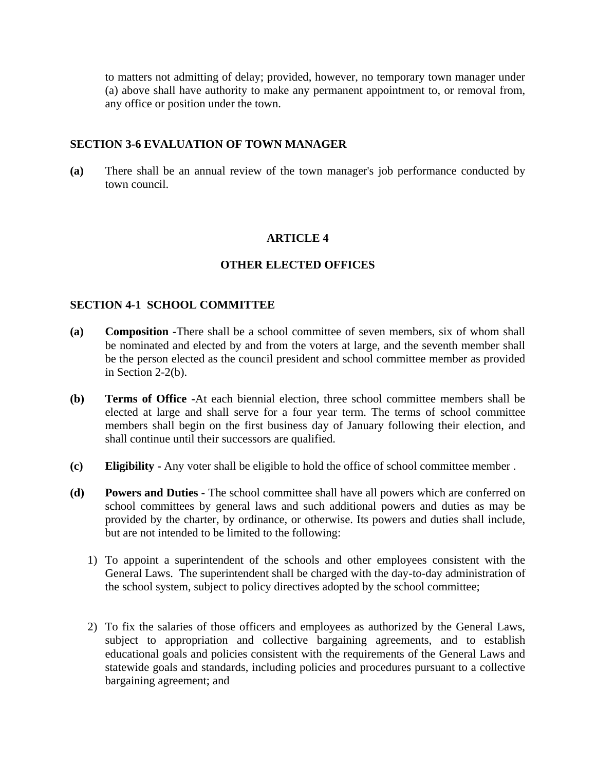to matters not admitting of delay; provided, however, no temporary town manager under (a) above shall have authority to make any permanent appointment to, or removal from, any office or position under the town.

#### **SECTION 3-6 EVALUATION OF TOWN MANAGER**

**(a)** There shall be an annual review of the town manager's job performance conducted by town council.

## **ARTICLE 4**

## **OTHER ELECTED OFFICES**

### **SECTION 4-1 SCHOOL COMMITTEE**

- **(a) Composition -**There shall be a school committee of seven members, six of whom shall be nominated and elected by and from the voters at large, and the seventh member shall be the person elected as the council president and school committee member as provided in Section 2-2(b).
- **(b) Terms of Office -**At each biennial election, three school committee members shall be elected at large and shall serve for a four year term. The terms of school committee members shall begin on the first business day of January following their election, and shall continue until their successors are qualified.
- **(c) Eligibility -** Any voter shall be eligible to hold the office of school committee member .
- **(d) Powers and Duties -** The school committee shall have all powers which are conferred on school committees by general laws and such additional powers and duties as may be provided by the charter, by ordinance, or otherwise. Its powers and duties shall include, but are not intended to be limited to the following:
	- 1) To appoint a superintendent of the schools and other employees consistent with the General Laws. The superintendent shall be charged with the day-to-day administration of the school system, subject to policy directives adopted by the school committee;
	- 2) To fix the salaries of those officers and employees as authorized by the General Laws, subject to appropriation and collective bargaining agreements, and to establish educational goals and policies consistent with the requirements of the General Laws and statewide goals and standards, including policies and procedures pursuant to a collective bargaining agreement; and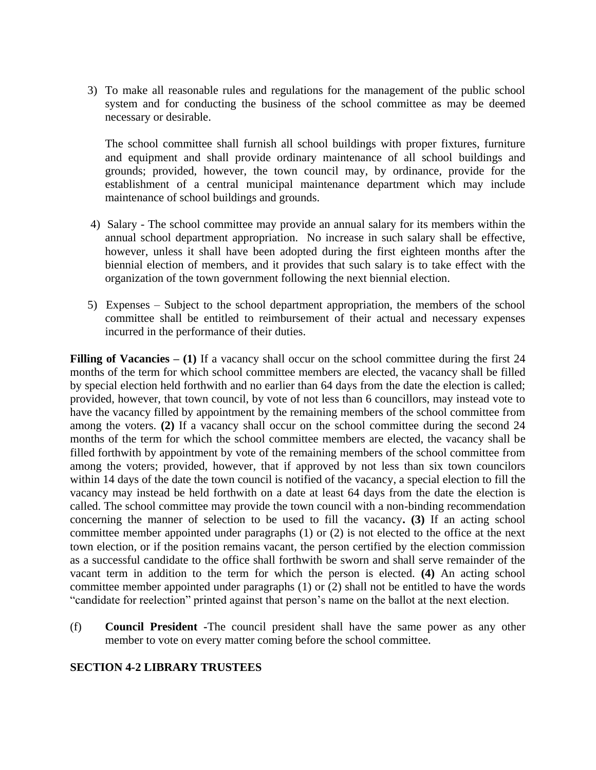3) To make all reasonable rules and regulations for the management of the public school system and for conducting the business of the school committee as may be deemed necessary or desirable.

 The school committee shall furnish all school buildings with proper fixtures, furniture and equipment and shall provide ordinary maintenance of all school buildings and grounds; provided, however, the town council may, by ordinance, provide for the establishment of a central municipal maintenance department which may include maintenance of school buildings and grounds.

- 4)Salary The school committee may provide an annual salary for its members within the annual school department appropriation. No increase in such salary shall be effective, however, unless it shall have been adopted during the first eighteen months after the biennial election of members, and it provides that such salary is to take effect with the organization of the town government following the next biennial election.
- 5)Expenses Subject to the school department appropriation, the members of the school committee shall be entitled to reimbursement of their actual and necessary expenses incurred in the performance of their duties.

**Filling of Vacancies – (1)** If a vacancy shall occur on the school committee during the first 24 months of the term for which school committee members are elected, the vacancy shall be filled by special election held forthwith and no earlier than 64 days from the date the election is called; provided, however, that town council, by vote of not less than 6 councillors, may instead vote to have the vacancy filled by appointment by the remaining members of the school committee from among the voters. **(2)** If a vacancy shall occur on the school committee during the second 24 months of the term for which the school committee members are elected, the vacancy shall be filled forthwith by appointment by vote of the remaining members of the school committee from among the voters; provided, however, that if approved by not less than six town councilors within 14 days of the date the town council is notified of the vacancy, a special election to fill the vacancy may instead be held forthwith on a date at least 64 days from the date the election is called. The school committee may provide the town council with a non-binding recommendation concerning the manner of selection to be used to fill the vacancy**. (3)** If an acting school committee member appointed under paragraphs (1) or (2) is not elected to the office at the next town election, or if the position remains vacant, the person certified by the election commission as a successful candidate to the office shall forthwith be sworn and shall serve remainder of the vacant term in addition to the term for which the person is elected. **(4)** An acting school committee member appointed under paragraphs (1) or (2) shall not be entitled to have the words "candidate for reelection" printed against that person's name on the ballot at the next election.

(f) **Council President -**The council president shall have the same power as any other member to vote on every matter coming before the school committee.

#### **SECTION 4-2 LIBRARY TRUSTEES**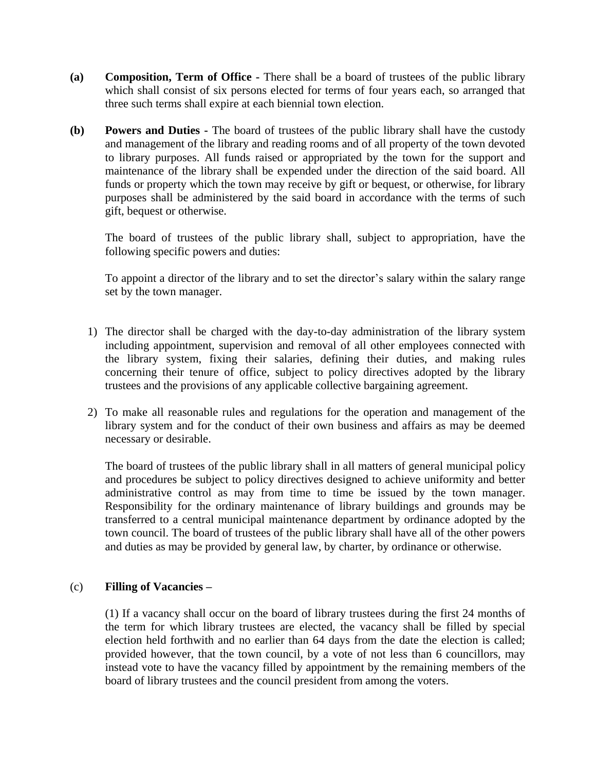- **(a) Composition, Term of Office -** There shall be a board of trustees of the public library which shall consist of six persons elected for terms of four years each, so arranged that three such terms shall expire at each biennial town election.
- **(b) Powers and Duties -** The board of trustees of the public library shall have the custody and management of the library and reading rooms and of all property of the town devoted to library purposes. All funds raised or appropriated by the town for the support and maintenance of the library shall be expended under the direction of the said board. All funds or property which the town may receive by gift or bequest, or otherwise, for library purposes shall be administered by the said board in accordance with the terms of such gift, bequest or otherwise.

The board of trustees of the public library shall, subject to appropriation, have the following specific powers and duties:

To appoint a director of the library and to set the director's salary within the salary range set by the town manager.

- 1) The director shall be charged with the day-to-day administration of the library system including appointment, supervision and removal of all other employees connected with the library system, fixing their salaries, defining their duties, and making rules concerning their tenure of office, subject to policy directives adopted by the library trustees and the provisions of any applicable collective bargaining agreement.
- 2) To make all reasonable rules and regulations for the operation and management of the library system and for the conduct of their own business and affairs as may be deemed necessary or desirable.

The board of trustees of the public library shall in all matters of general municipal policy and procedures be subject to policy directives designed to achieve uniformity and better administrative control as may from time to time be issued by the town manager. Responsibility for the ordinary maintenance of library buildings and grounds may be transferred to a central municipal maintenance department by ordinance adopted by the town council. The board of trustees of the public library shall have all of the other powers and duties as may be provided by general law, by charter, by ordinance or otherwise.

#### (c) **Filling of Vacancies –**

(1) If a vacancy shall occur on the board of library trustees during the first 24 months of the term for which library trustees are elected, the vacancy shall be filled by special election held forthwith and no earlier than 64 days from the date the election is called; provided however, that the town council, by a vote of not less than 6 councillors, may instead vote to have the vacancy filled by appointment by the remaining members of the board of library trustees and the council president from among the voters.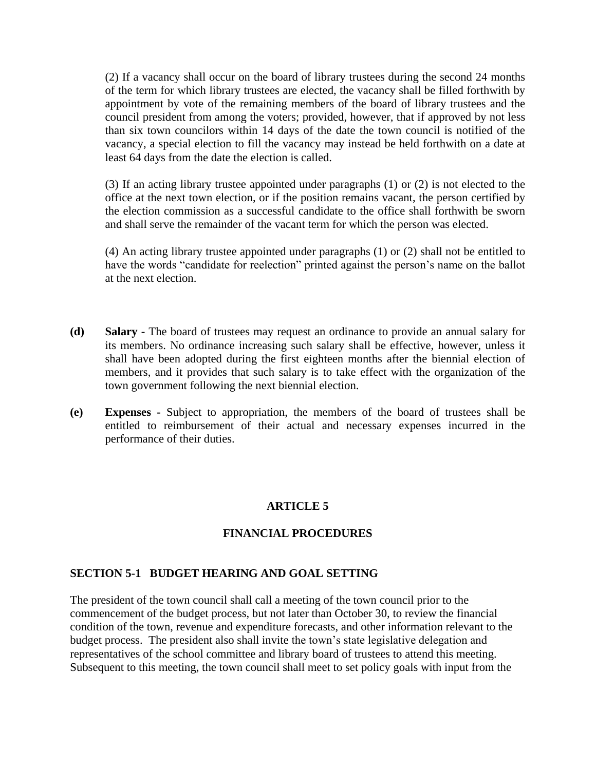(2) If a vacancy shall occur on the board of library trustees during the second 24 months of the term for which library trustees are elected, the vacancy shall be filled forthwith by appointment by vote of the remaining members of the board of library trustees and the council president from among the voters; provided, however, that if approved by not less than six town councilors within 14 days of the date the town council is notified of the vacancy, a special election to fill the vacancy may instead be held forthwith on a date at least 64 days from the date the election is called.

(3) If an acting library trustee appointed under paragraphs (1) or (2) is not elected to the office at the next town election, or if the position remains vacant, the person certified by the election commission as a successful candidate to the office shall forthwith be sworn and shall serve the remainder of the vacant term for which the person was elected.

(4) An acting library trustee appointed under paragraphs (1) or (2) shall not be entitled to have the words "candidate for reelection" printed against the person's name on the ballot at the next election.

- **(d) Salary -** The board of trustees may request an ordinance to provide an annual salary for its members. No ordinance increasing such salary shall be effective, however, unless it shall have been adopted during the first eighteen months after the biennial election of members, and it provides that such salary is to take effect with the organization of the town government following the next biennial election.
- **(e) Expenses -** Subject to appropriation, the members of the board of trustees shall be entitled to reimbursement of their actual and necessary expenses incurred in the performance of their duties.

#### **ARTICLE 5**

#### **FINANCIAL PROCEDURES**

#### **SECTION 5-1 BUDGET HEARING AND GOAL SETTING**

The president of the town council shall call a meeting of the town council prior to the commencement of the budget process, but not later than October 30, to review the financial condition of the town, revenue and expenditure forecasts, and other information relevant to the budget process. The president also shall invite the town's state legislative delegation and representatives of the school committee and library board of trustees to attend this meeting. Subsequent to this meeting, the town council shall meet to set policy goals with input from the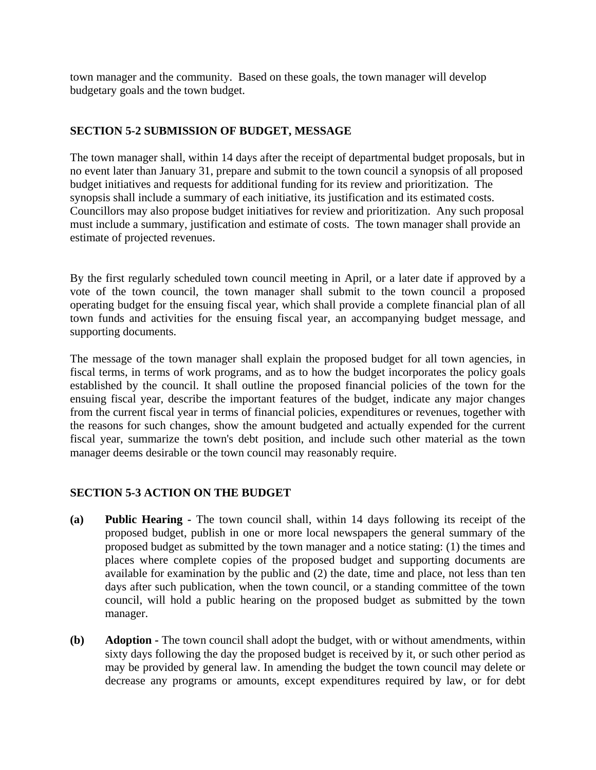town manager and the community. Based on these goals, the town manager will develop budgetary goals and the town budget.

## **SECTION 5-2 SUBMISSION OF BUDGET, MESSAGE**

The town manager shall, within 14 days after the receipt of departmental budget proposals, but in no event later than January 31, prepare and submit to the town council a synopsis of all proposed budget initiatives and requests for additional funding for its review and prioritization. The synopsis shall include a summary of each initiative, its justification and its estimated costs. Councillors may also propose budget initiatives for review and prioritization. Any such proposal must include a summary, justification and estimate of costs. The town manager shall provide an estimate of projected revenues.

By the first regularly scheduled town council meeting in April, or a later date if approved by a vote of the town council, the town manager shall submit to the town council a proposed operating budget for the ensuing fiscal year, which shall provide a complete financial plan of all town funds and activities for the ensuing fiscal year, an accompanying budget message, and supporting documents.

The message of the town manager shall explain the proposed budget for all town agencies, in fiscal terms, in terms of work programs, and as to how the budget incorporates the policy goals established by the council. It shall outline the proposed financial policies of the town for the ensuing fiscal year, describe the important features of the budget, indicate any major changes from the current fiscal year in terms of financial policies, expenditures or revenues, together with the reasons for such changes, show the amount budgeted and actually expended for the current fiscal year, summarize the town's debt position, and include such other material as the town manager deems desirable or the town council may reasonably require.

## **SECTION 5-3 ACTION ON THE BUDGET**

- **(a) Public Hearing -** The town council shall, within 14 days following its receipt of the proposed budget, publish in one or more local newspapers the general summary of the proposed budget as submitted by the town manager and a notice stating: (1) the times and places where complete copies of the proposed budget and supporting documents are available for examination by the public and (2) the date, time and place, not less than ten days after such publication, when the town council, or a standing committee of the town council, will hold a public hearing on the proposed budget as submitted by the town manager.
- **(b) Adoption -** The town council shall adopt the budget, with or without amendments, within sixty days following the day the proposed budget is received by it, or such other period as may be provided by general law. In amending the budget the town council may delete or decrease any programs or amounts, except expenditures required by law, or for debt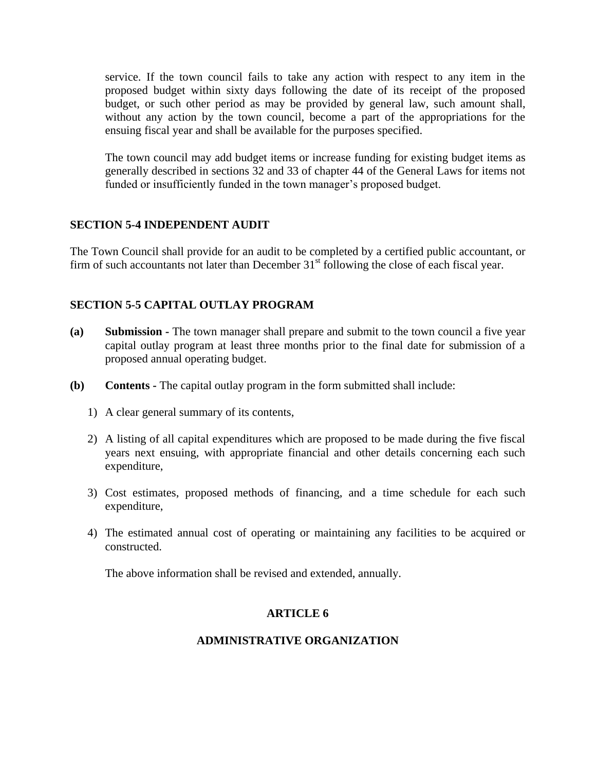service. If the town council fails to take any action with respect to any item in the proposed budget within sixty days following the date of its receipt of the proposed budget, or such other period as may be provided by general law, such amount shall, without any action by the town council, become a part of the appropriations for the ensuing fiscal year and shall be available for the purposes specified.

The town council may add budget items or increase funding for existing budget items as generally described in sections 32 and 33 of chapter 44 of the General Laws for items not funded or insufficiently funded in the town manager's proposed budget.

## **SECTION 5-4 INDEPENDENT AUDIT**

The Town Council shall provide for an audit to be completed by a certified public accountant, or firm of such accountants not later than December  $31<sup>st</sup>$  following the close of each fiscal year.

### **SECTION 5-5 CAPITAL OUTLAY PROGRAM**

- **(a) Submission -** The town manager shall prepare and submit to the town council a five year capital outlay program at least three months prior to the final date for submission of a proposed annual operating budget.
- **(b) Contents -** The capital outlay program in the form submitted shall include:
	- 1) A clear general summary of its contents,
	- 2) A listing of all capital expenditures which are proposed to be made during the five fiscal years next ensuing, with appropriate financial and other details concerning each such expenditure,
	- 3) Cost estimates, proposed methods of financing, and a time schedule for each such expenditure,
	- 4) The estimated annual cost of operating or maintaining any facilities to be acquired or constructed.

The above information shall be revised and extended, annually.

#### **ARTICLE 6**

#### **ADMINISTRATIVE ORGANIZATION**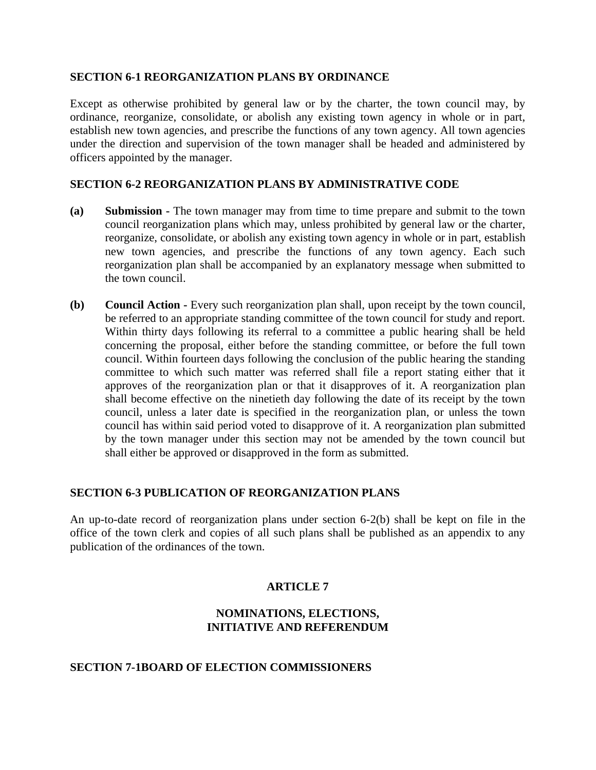#### **SECTION 6-1 REORGANIZATION PLANS BY ORDINANCE**

Except as otherwise prohibited by general law or by the charter, the town council may, by ordinance, reorganize, consolidate, or abolish any existing town agency in whole or in part, establish new town agencies, and prescribe the functions of any town agency. All town agencies under the direction and supervision of the town manager shall be headed and administered by officers appointed by the manager.

#### **SECTION 6-2 REORGANIZATION PLANS BY ADMINISTRATIVE CODE**

- **(a) Submission -** The town manager may from time to time prepare and submit to the town council reorganization plans which may, unless prohibited by general law or the charter, reorganize, consolidate, or abolish any existing town agency in whole or in part, establish new town agencies, and prescribe the functions of any town agency. Each such reorganization plan shall be accompanied by an explanatory message when submitted to the town council.
- **(b) Council Action -** Every such reorganization plan shall, upon receipt by the town council, be referred to an appropriate standing committee of the town council for study and report. Within thirty days following its referral to a committee a public hearing shall be held concerning the proposal, either before the standing committee, or before the full town council. Within fourteen days following the conclusion of the public hearing the standing committee to which such matter was referred shall file a report stating either that it approves of the reorganization plan or that it disapproves of it. A reorganization plan shall become effective on the ninetieth day following the date of its receipt by the town council, unless a later date is specified in the reorganization plan, or unless the town council has within said period voted to disapprove of it. A reorganization plan submitted by the town manager under this section may not be amended by the town council but shall either be approved or disapproved in the form as submitted.

#### **SECTION 6-3 PUBLICATION OF REORGANIZATION PLANS**

An up-to-date record of reorganization plans under section 6-2(b) shall be kept on file in the office of the town clerk and copies of all such plans shall be published as an appendix to any publication of the ordinances of the town.

## **ARTICLE 7**

### **NOMINATIONS, ELECTIONS, INITIATIVE AND REFERENDUM**

#### **SECTION 7-1BOARD OF ELECTION COMMISSIONERS**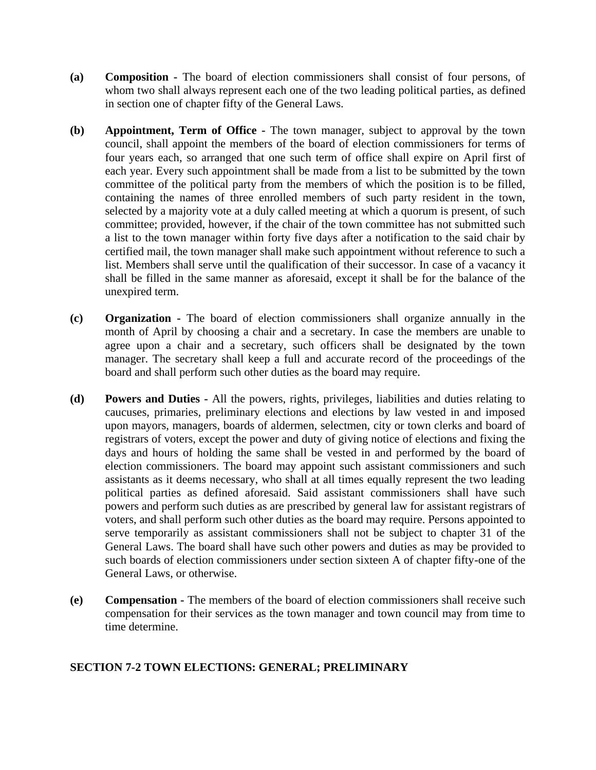- **(a) Composition -** The board of election commissioners shall consist of four persons, of whom two shall always represent each one of the two leading political parties, as defined in section one of chapter fifty of the General Laws.
- **(b) Appointment, Term of Office -** The town manager, subject to approval by the town council, shall appoint the members of the board of election commissioners for terms of four years each, so arranged that one such term of office shall expire on April first of each year. Every such appointment shall be made from a list to be submitted by the town committee of the political party from the members of which the position is to be filled, containing the names of three enrolled members of such party resident in the town, selected by a majority vote at a duly called meeting at which a quorum is present, of such committee; provided, however, if the chair of the town committee has not submitted such a list to the town manager within forty five days after a notification to the said chair by certified mail, the town manager shall make such appointment without reference to such a list. Members shall serve until the qualification of their successor. In case of a vacancy it shall be filled in the same manner as aforesaid, except it shall be for the balance of the unexpired term.
- **(c) Organization -** The board of election commissioners shall organize annually in the month of April by choosing a chair and a secretary. In case the members are unable to agree upon a chair and a secretary, such officers shall be designated by the town manager. The secretary shall keep a full and accurate record of the proceedings of the board and shall perform such other duties as the board may require.
- **(d) Powers and Duties -** All the powers, rights, privileges, liabilities and duties relating to caucuses, primaries, preliminary elections and elections by law vested in and imposed upon mayors, managers, boards of aldermen, selectmen, city or town clerks and board of registrars of voters, except the power and duty of giving notice of elections and fixing the days and hours of holding the same shall be vested in and performed by the board of election commissioners. The board may appoint such assistant commissioners and such assistants as it deems necessary, who shall at all times equally represent the two leading political parties as defined aforesaid. Said assistant commissioners shall have such powers and perform such duties as are prescribed by general law for assistant registrars of voters, and shall perform such other duties as the board may require. Persons appointed to serve temporarily as assistant commissioners shall not be subject to chapter 31 of the General Laws. The board shall have such other powers and duties as may be provided to such boards of election commissioners under section sixteen A of chapter fifty-one of the General Laws, or otherwise.
- **(e) Compensation -** The members of the board of election commissioners shall receive such compensation for their services as the town manager and town council may from time to time determine.

## **SECTION 7-2 TOWN ELECTIONS: GENERAL; PRELIMINARY**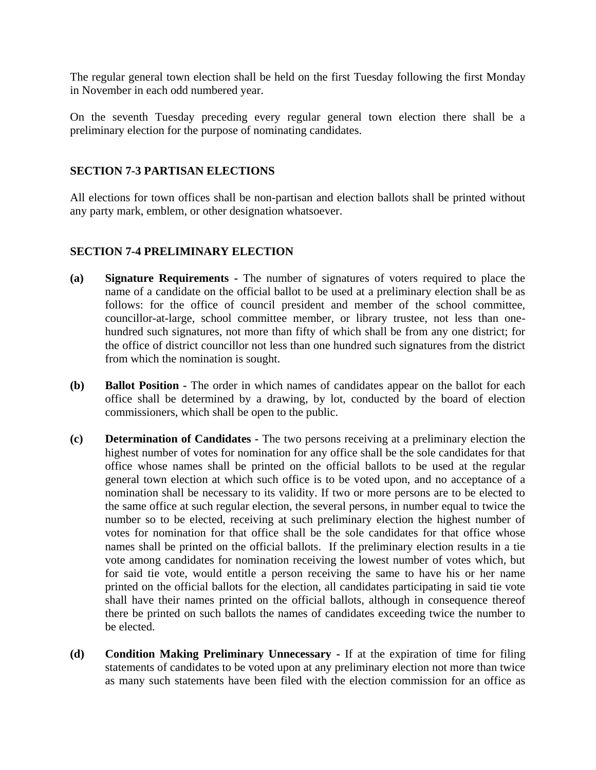The regular general town election shall be held on the first Tuesday following the first Monday in November in each odd numbered year.

On the seventh Tuesday preceding every regular general town election there shall be a preliminary election for the purpose of nominating candidates.

### **SECTION 7-3 PARTISAN ELECTIONS**

All elections for town offices shall be non-partisan and election ballots shall be printed without any party mark, emblem, or other designation whatsoever.

### **SECTION 7-4 PRELIMINARY ELECTION**

- **(a) Signature Requirements -** The number of signatures of voters required to place the name of a candidate on the official ballot to be used at a preliminary election shall be as follows: for the office of council president and member of the school committee, councillor-at-large, school committee member, or library trustee, not less than onehundred such signatures, not more than fifty of which shall be from any one district; for the office of district councillor not less than one hundred such signatures from the district from which the nomination is sought.
- **(b) Ballot Position -** The order in which names of candidates appear on the ballot for each office shall be determined by a drawing, by lot, conducted by the board of election commissioners, which shall be open to the public.
- **(c) Determination of Candidates -** The two persons receiving at a preliminary election the highest number of votes for nomination for any office shall be the sole candidates for that office whose names shall be printed on the official ballots to be used at the regular general town election at which such office is to be voted upon, and no acceptance of a nomination shall be necessary to its validity. If two or more persons are to be elected to the same office at such regular election, the several persons, in number equal to twice the number so to be elected, receiving at such preliminary election the highest number of votes for nomination for that office shall be the sole candidates for that office whose names shall be printed on the official ballots. If the preliminary election results in a tie vote among candidates for nomination receiving the lowest number of votes which, but for said tie vote, would entitle a person receiving the same to have his or her name printed on the official ballots for the election, all candidates participating in said tie vote shall have their names printed on the official ballots, although in consequence thereof there be printed on such ballots the names of candidates exceeding twice the number to be elected.
- **(d) Condition Making Preliminary Unnecessary -** If at the expiration of time for filing statements of candidates to be voted upon at any preliminary election not more than twice as many such statements have been filed with the election commission for an office as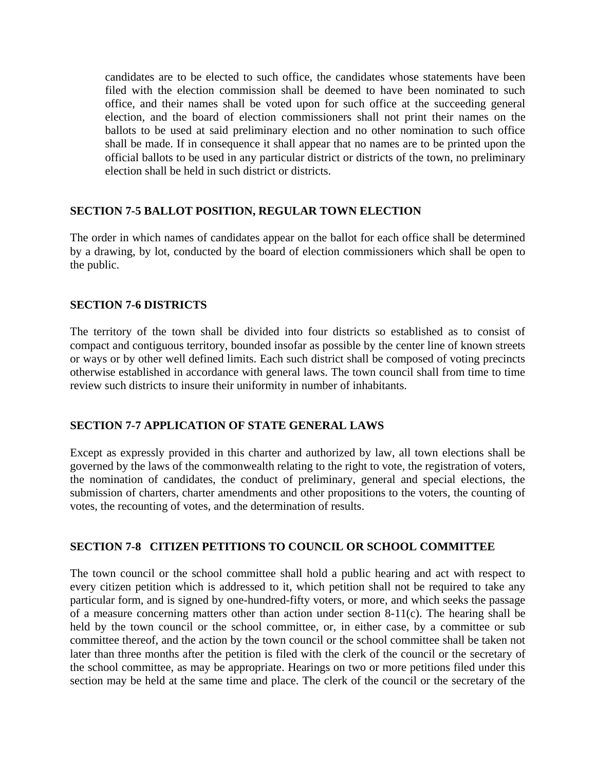candidates are to be elected to such office, the candidates whose statements have been filed with the election commission shall be deemed to have been nominated to such office, and their names shall be voted upon for such office at the succeeding general election, and the board of election commissioners shall not print their names on the ballots to be used at said preliminary election and no other nomination to such office shall be made. If in consequence it shall appear that no names are to be printed upon the official ballots to be used in any particular district or districts of the town, no preliminary election shall be held in such district or districts.

### **SECTION 7-5 BALLOT POSITION, REGULAR TOWN ELECTION**

The order in which names of candidates appear on the ballot for each office shall be determined by a drawing, by lot, conducted by the board of election commissioners which shall be open to the public.

### **SECTION 7-6 DISTRICTS**

The territory of the town shall be divided into four districts so established as to consist of compact and contiguous territory, bounded insofar as possible by the center line of known streets or ways or by other well defined limits. Each such district shall be composed of voting precincts otherwise established in accordance with general laws. The town council shall from time to time review such districts to insure their uniformity in number of inhabitants.

#### **SECTION 7-7 APPLICATION OF STATE GENERAL LAWS**

Except as expressly provided in this charter and authorized by law, all town elections shall be governed by the laws of the commonwealth relating to the right to vote, the registration of voters, the nomination of candidates, the conduct of preliminary, general and special elections, the submission of charters, charter amendments and other propositions to the voters, the counting of votes, the recounting of votes, and the determination of results.

#### **SECTION 7-8 CITIZEN PETITIONS TO COUNCIL OR SCHOOL COMMITTEE**

The town council or the school committee shall hold a public hearing and act with respect to every citizen petition which is addressed to it, which petition shall not be required to take any particular form, and is signed by one-hundred-fifty voters, or more, and which seeks the passage of a measure concerning matters other than action under section 8-11(c). The hearing shall be held by the town council or the school committee, or, in either case, by a committee or sub committee thereof, and the action by the town council or the school committee shall be taken not later than three months after the petition is filed with the clerk of the council or the secretary of the school committee, as may be appropriate. Hearings on two or more petitions filed under this section may be held at the same time and place. The clerk of the council or the secretary of the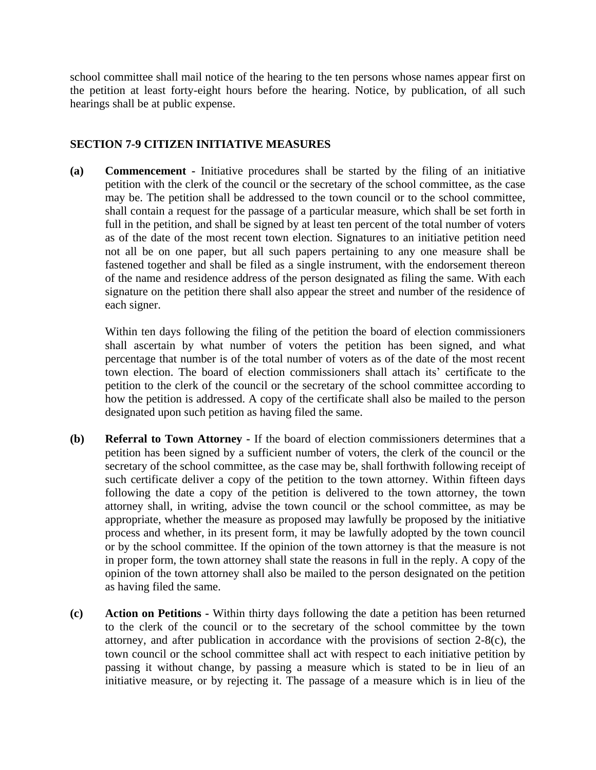school committee shall mail notice of the hearing to the ten persons whose names appear first on the petition at least forty-eight hours before the hearing. Notice, by publication, of all such hearings shall be at public expense.

## **SECTION 7-9 CITIZEN INITIATIVE MEASURES**

**(a) Commencement -** Initiative procedures shall be started by the filing of an initiative petition with the clerk of the council or the secretary of the school committee, as the case may be. The petition shall be addressed to the town council or to the school committee, shall contain a request for the passage of a particular measure, which shall be set forth in full in the petition, and shall be signed by at least ten percent of the total number of voters as of the date of the most recent town election. Signatures to an initiative petition need not all be on one paper, but all such papers pertaining to any one measure shall be fastened together and shall be filed as a single instrument, with the endorsement thereon of the name and residence address of the person designated as filing the same. With each signature on the petition there shall also appear the street and number of the residence of each signer.

Within ten days following the filing of the petition the board of election commissioners shall ascertain by what number of voters the petition has been signed, and what percentage that number is of the total number of voters as of the date of the most recent town election. The board of election commissioners shall attach its' certificate to the petition to the clerk of the council or the secretary of the school committee according to how the petition is addressed. A copy of the certificate shall also be mailed to the person designated upon such petition as having filed the same.

- **(b) Referral to Town Attorney -** If the board of election commissioners determines that a petition has been signed by a sufficient number of voters, the clerk of the council or the secretary of the school committee, as the case may be, shall forthwith following receipt of such certificate deliver a copy of the petition to the town attorney. Within fifteen days following the date a copy of the petition is delivered to the town attorney, the town attorney shall, in writing, advise the town council or the school committee, as may be appropriate, whether the measure as proposed may lawfully be proposed by the initiative process and whether, in its present form, it may be lawfully adopted by the town council or by the school committee. If the opinion of the town attorney is that the measure is not in proper form, the town attorney shall state the reasons in full in the reply. A copy of the opinion of the town attorney shall also be mailed to the person designated on the petition as having filed the same.
- **(c) Action on Petitions -** Within thirty days following the date a petition has been returned to the clerk of the council or to the secretary of the school committee by the town attorney, and after publication in accordance with the provisions of section 2-8(c), the town council or the school committee shall act with respect to each initiative petition by passing it without change, by passing a measure which is stated to be in lieu of an initiative measure, or by rejecting it. The passage of a measure which is in lieu of the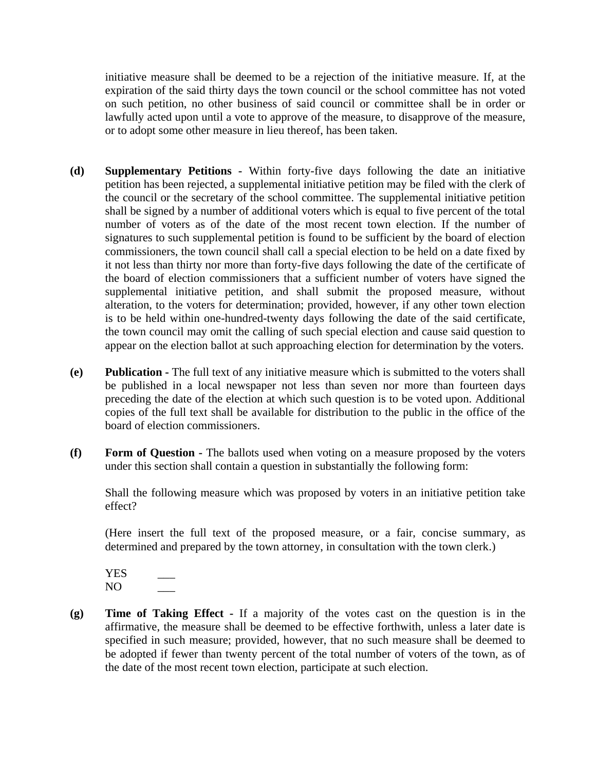initiative measure shall be deemed to be a rejection of the initiative measure. If, at the expiration of the said thirty days the town council or the school committee has not voted on such petition, no other business of said council or committee shall be in order or lawfully acted upon until a vote to approve of the measure, to disapprove of the measure, or to adopt some other measure in lieu thereof, has been taken.

- **(d) Supplementary Petitions -** Within forty-five days following the date an initiative petition has been rejected, a supplemental initiative petition may be filed with the clerk of the council or the secretary of the school committee. The supplemental initiative petition shall be signed by a number of additional voters which is equal to five percent of the total number of voters as of the date of the most recent town election. If the number of signatures to such supplemental petition is found to be sufficient by the board of election commissioners, the town council shall call a special election to be held on a date fixed by it not less than thirty nor more than forty-five days following the date of the certificate of the board of election commissioners that a sufficient number of voters have signed the supplemental initiative petition, and shall submit the proposed measure, without alteration, to the voters for determination; provided, however, if any other town election is to be held within one-hundred-twenty days following the date of the said certificate, the town council may omit the calling of such special election and cause said question to appear on the election ballot at such approaching election for determination by the voters.
- **(e) Publication -** The full text of any initiative measure which is submitted to the voters shall be published in a local newspaper not less than seven nor more than fourteen days preceding the date of the election at which such question is to be voted upon. Additional copies of the full text shall be available for distribution to the public in the office of the board of election commissioners.
- **(f) Form of Question -** The ballots used when voting on a measure proposed by the voters under this section shall contain a question in substantially the following form:

Shall the following measure which was proposed by voters in an initiative petition take effect?

(Here insert the full text of the proposed measure, or a fair, concise summary, as determined and prepared by the town attorney, in consultation with the town clerk.)

YES \_\_\_  $NO$ 

**(g) Time of Taking Effect -** If a majority of the votes cast on the question is in the affirmative, the measure shall be deemed to be effective forthwith, unless a later date is specified in such measure; provided, however, that no such measure shall be deemed to be adopted if fewer than twenty percent of the total number of voters of the town, as of the date of the most recent town election, participate at such election.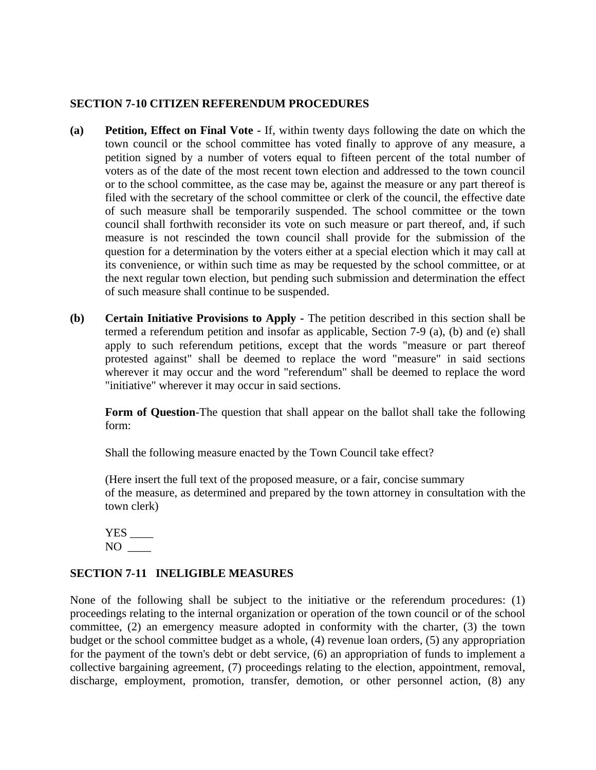#### **SECTION 7-10 CITIZEN REFERENDUM PROCEDURES**

- **(a) Petition, Effect on Final Vote -** If, within twenty days following the date on which the town council or the school committee has voted finally to approve of any measure, a petition signed by a number of voters equal to fifteen percent of the total number of voters as of the date of the most recent town election and addressed to the town council or to the school committee, as the case may be, against the measure or any part thereof is filed with the secretary of the school committee or clerk of the council, the effective date of such measure shall be temporarily suspended. The school committee or the town council shall forthwith reconsider its vote on such measure or part thereof, and, if such measure is not rescinded the town council shall provide for the submission of the question for a determination by the voters either at a special election which it may call at its convenience, or within such time as may be requested by the school committee, or at the next regular town election, but pending such submission and determination the effect of such measure shall continue to be suspended.
- **(b) Certain Initiative Provisions to Apply -** The petition described in this section shall be termed a referendum petition and insofar as applicable, Section 7-9 (a), (b) and (e) shall apply to such referendum petitions, except that the words "measure or part thereof protested against" shall be deemed to replace the word "measure" in said sections wherever it may occur and the word "referendum" shall be deemed to replace the word "initiative" wherever it may occur in said sections.

**Form of Question**-The question that shall appear on the ballot shall take the following form:

Shall the following measure enacted by the Town Council take effect?

(Here insert the full text of the proposed measure, or a fair, concise summary of the measure, as determined and prepared by the town attorney in consultation with the town clerk)

 $YES$   $\_\_$ NO \_\_\_\_

## **SECTION 7-11 INELIGIBLE MEASURES**

None of the following shall be subject to the initiative or the referendum procedures: (1) proceedings relating to the internal organization or operation of the town council or of the school committee, (2) an emergency measure adopted in conformity with the charter, (3) the town budget or the school committee budget as a whole, (4) revenue loan orders, (5) any appropriation for the payment of the town's debt or debt service, (6) an appropriation of funds to implement a collective bargaining agreement, (7) proceedings relating to the election, appointment, removal, discharge, employment, promotion, transfer, demotion, or other personnel action, (8) any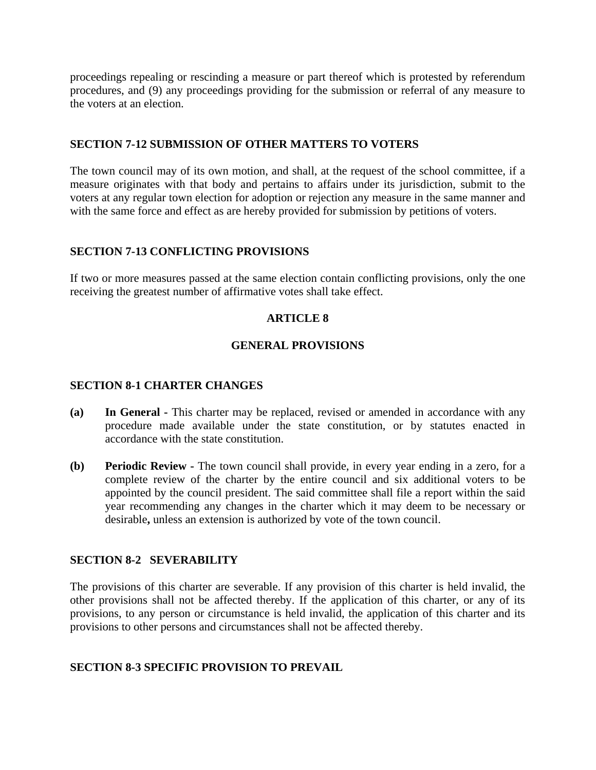proceedings repealing or rescinding a measure or part thereof which is protested by referendum procedures, and (9) any proceedings providing for the submission or referral of any measure to the voters at an election.

#### **SECTION 7-12 SUBMISSION OF OTHER MATTERS TO VOTERS**

The town council may of its own motion, and shall, at the request of the school committee, if a measure originates with that body and pertains to affairs under its jurisdiction, submit to the voters at any regular town election for adoption or rejection any measure in the same manner and with the same force and effect as are hereby provided for submission by petitions of voters.

## **SECTION 7-13 CONFLICTING PROVISIONS**

If two or more measures passed at the same election contain conflicting provisions, only the one receiving the greatest number of affirmative votes shall take effect.

## **ARTICLE 8**

## **GENERAL PROVISIONS**

## **SECTION 8-1 CHARTER CHANGES**

- **(a) In General -** This charter may be replaced, revised or amended in accordance with any procedure made available under the state constitution, or by statutes enacted in accordance with the state constitution.
- **(b) Periodic Review -** The town council shall provide, in every year ending in a zero, for a complete review of the charter by the entire council and six additional voters to be appointed by the council president. The said committee shall file a report within the said year recommending any changes in the charter which it may deem to be necessary or desirable**,** unless an extension is authorized by vote of the town council.

## **SECTION 8-2 SEVERABILITY**

The provisions of this charter are severable. If any provision of this charter is held invalid, the other provisions shall not be affected thereby. If the application of this charter, or any of its provisions, to any person or circumstance is held invalid, the application of this charter and its provisions to other persons and circumstances shall not be affected thereby.

## **SECTION 8-3 SPECIFIC PROVISION TO PREVAIL**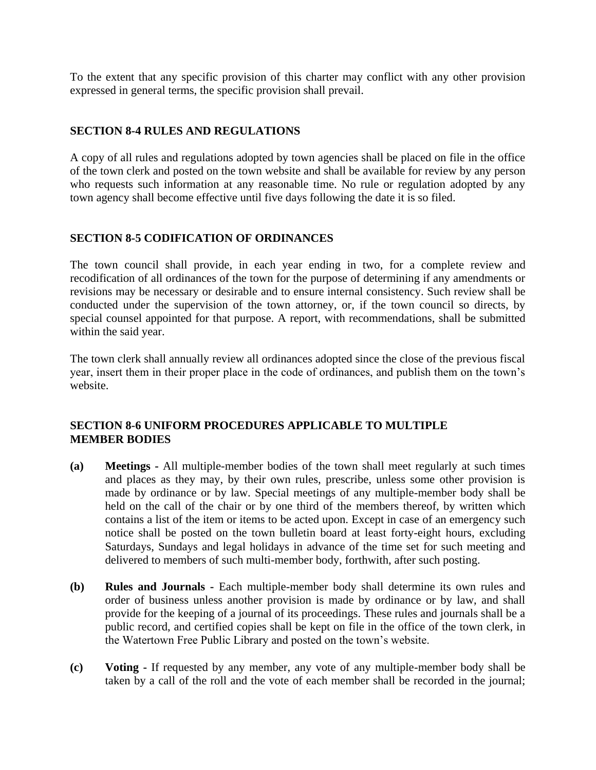To the extent that any specific provision of this charter may conflict with any other provision expressed in general terms, the specific provision shall prevail.

## **SECTION 8-4 RULES AND REGULATIONS**

A copy of all rules and regulations adopted by town agencies shall be placed on file in the office of the town clerk and posted on the town website and shall be available for review by any person who requests such information at any reasonable time. No rule or regulation adopted by any town agency shall become effective until five days following the date it is so filed.

## **SECTION 8-5 CODIFICATION OF ORDINANCES**

The town council shall provide, in each year ending in two, for a complete review and recodification of all ordinances of the town for the purpose of determining if any amendments or revisions may be necessary or desirable and to ensure internal consistency. Such review shall be conducted under the supervision of the town attorney, or, if the town council so directs, by special counsel appointed for that purpose. A report, with recommendations, shall be submitted within the said year.

The town clerk shall annually review all ordinances adopted since the close of the previous fiscal year, insert them in their proper place in the code of ordinances, and publish them on the town's website.

## **SECTION 8-6 UNIFORM PROCEDURES APPLICABLE TO MULTIPLE MEMBER BODIES**

- **(a) Meetings -** All multiple-member bodies of the town shall meet regularly at such times and places as they may, by their own rules, prescribe, unless some other provision is made by ordinance or by law. Special meetings of any multiple-member body shall be held on the call of the chair or by one third of the members thereof, by written which contains a list of the item or items to be acted upon. Except in case of an emergency such notice shall be posted on the town bulletin board at least forty-eight hours, excluding Saturdays, Sundays and legal holidays in advance of the time set for such meeting and delivered to members of such multi-member body, forthwith, after such posting.
- **(b) Rules and Journals -** Each multiple-member body shall determine its own rules and order of business unless another provision is made by ordinance or by law, and shall provide for the keeping of a journal of its proceedings. These rules and journals shall be a public record, and certified copies shall be kept on file in the office of the town clerk, in the Watertown Free Public Library and posted on the town's website.
- **(c) Voting -** If requested by any member, any vote of any multiple-member body shall be taken by a call of the roll and the vote of each member shall be recorded in the journal;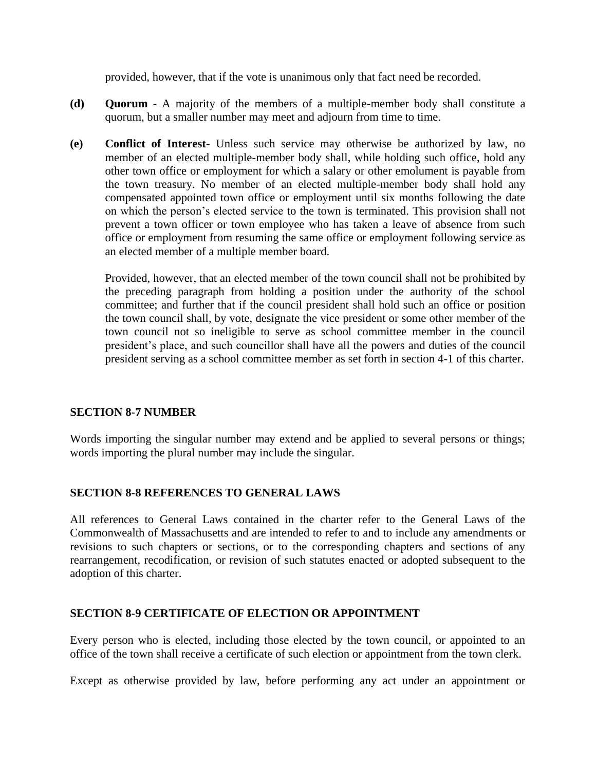provided, however, that if the vote is unanimous only that fact need be recorded.

- **(d) Quorum -** A majority of the members of a multiple-member body shall constitute a quorum, but a smaller number may meet and adjourn from time to time.
- **(e) Conflict of Interest-** Unless such service may otherwise be authorized by law, no member of an elected multiple-member body shall, while holding such office, hold any other town office or employment for which a salary or other emolument is payable from the town treasury. No member of an elected multiple-member body shall hold any compensated appointed town office or employment until six months following the date on which the person's elected service to the town is terminated. This provision shall not prevent a town officer or town employee who has taken a leave of absence from such office or employment from resuming the same office or employment following service as an elected member of a multiple member board.

Provided, however, that an elected member of the town council shall not be prohibited by the preceding paragraph from holding a position under the authority of the school committee; and further that if the council president shall hold such an office or position the town council shall, by vote, designate the vice president or some other member of the town council not so ineligible to serve as school committee member in the council president's place, and such councillor shall have all the powers and duties of the council president serving as a school committee member as set forth in section 4-1 of this charter.

#### **SECTION 8-7 NUMBER**

Words importing the singular number may extend and be applied to several persons or things; words importing the plural number may include the singular.

#### **SECTION 8-8 REFERENCES TO GENERAL LAWS**

All references to General Laws contained in the charter refer to the General Laws of the Commonwealth of Massachusetts and are intended to refer to and to include any amendments or revisions to such chapters or sections, or to the corresponding chapters and sections of any rearrangement, recodification, or revision of such statutes enacted or adopted subsequent to the adoption of this charter.

#### **SECTION 8-9 CERTIFICATE OF ELECTION OR APPOINTMENT**

Every person who is elected, including those elected by the town council, or appointed to an office of the town shall receive a certificate of such election or appointment from the town clerk.

Except as otherwise provided by law, before performing any act under an appointment or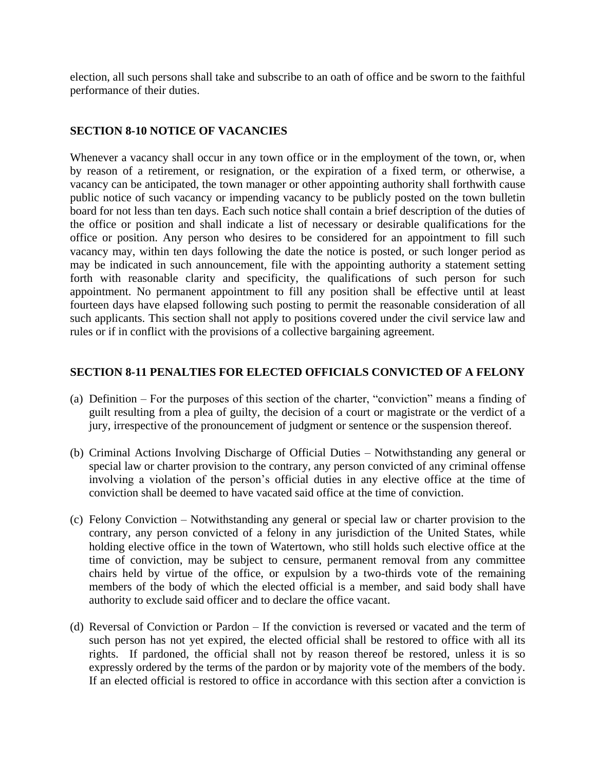election, all such persons shall take and subscribe to an oath of office and be sworn to the faithful performance of their duties.

## **SECTION 8-10 NOTICE OF VACANCIES**

Whenever a vacancy shall occur in any town office or in the employment of the town, or, when by reason of a retirement, or resignation, or the expiration of a fixed term, or otherwise, a vacancy can be anticipated, the town manager or other appointing authority shall forthwith cause public notice of such vacancy or impending vacancy to be publicly posted on the town bulletin board for not less than ten days. Each such notice shall contain a brief description of the duties of the office or position and shall indicate a list of necessary or desirable qualifications for the office or position. Any person who desires to be considered for an appointment to fill such vacancy may, within ten days following the date the notice is posted, or such longer period as may be indicated in such announcement, file with the appointing authority a statement setting forth with reasonable clarity and specificity, the qualifications of such person for such appointment. No permanent appointment to fill any position shall be effective until at least fourteen days have elapsed following such posting to permit the reasonable consideration of all such applicants. This section shall not apply to positions covered under the civil service law and rules or if in conflict with the provisions of a collective bargaining agreement.

### **SECTION 8-11 PENALTIES FOR ELECTED OFFICIALS CONVICTED OF A FELONY**

- (a) Definition For the purposes of this section of the charter, "conviction" means a finding of guilt resulting from a plea of guilty, the decision of a court or magistrate or the verdict of a jury, irrespective of the pronouncement of judgment or sentence or the suspension thereof.
- (b) Criminal Actions Involving Discharge of Official Duties Notwithstanding any general or special law or charter provision to the contrary, any person convicted of any criminal offense involving a violation of the person's official duties in any elective office at the time of conviction shall be deemed to have vacated said office at the time of conviction.
- (c) Felony Conviction Notwithstanding any general or special law or charter provision to the contrary, any person convicted of a felony in any jurisdiction of the United States, while holding elective office in the town of Watertown, who still holds such elective office at the time of conviction, may be subject to censure, permanent removal from any committee chairs held by virtue of the office, or expulsion by a two-thirds vote of the remaining members of the body of which the elected official is a member, and said body shall have authority to exclude said officer and to declare the office vacant.
- (d) Reversal of Conviction or Pardon If the conviction is reversed or vacated and the term of such person has not yet expired, the elected official shall be restored to office with all its rights. If pardoned, the official shall not by reason thereof be restored, unless it is so expressly ordered by the terms of the pardon or by majority vote of the members of the body. If an elected official is restored to office in accordance with this section after a conviction is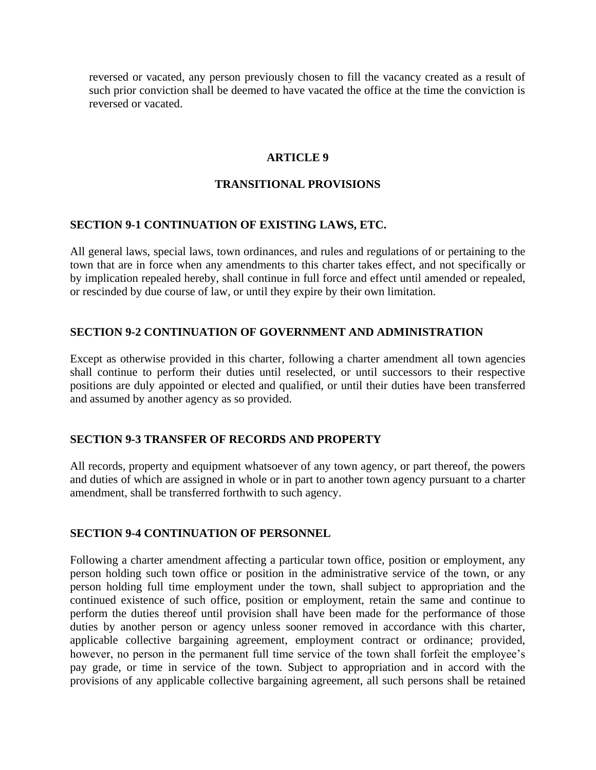reversed or vacated, any person previously chosen to fill the vacancy created as a result of such prior conviction shall be deemed to have vacated the office at the time the conviction is reversed or vacated.

#### **ARTICLE 9**

#### **TRANSITIONAL PROVISIONS**

#### **SECTION 9-1 CONTINUATION OF EXISTING LAWS, ETC.**

All general laws, special laws, town ordinances, and rules and regulations of or pertaining to the town that are in force when any amendments to this charter takes effect, and not specifically or by implication repealed hereby, shall continue in full force and effect until amended or repealed, or rescinded by due course of law, or until they expire by their own limitation.

#### **SECTION 9-2 CONTINUATION OF GOVERNMENT AND ADMINISTRATION**

Except as otherwise provided in this charter, following a charter amendment all town agencies shall continue to perform their duties until reselected, or until successors to their respective positions are duly appointed or elected and qualified, or until their duties have been transferred and assumed by another agency as so provided.

#### **SECTION 9-3 TRANSFER OF RECORDS AND PROPERTY**

All records, property and equipment whatsoever of any town agency, or part thereof, the powers and duties of which are assigned in whole or in part to another town agency pursuant to a charter amendment, shall be transferred forthwith to such agency.

#### **SECTION 9-4 CONTINUATION OF PERSONNEL**

Following a charter amendment affecting a particular town office, position or employment, any person holding such town office or position in the administrative service of the town, or any person holding full time employment under the town, shall subject to appropriation and the continued existence of such office, position or employment, retain the same and continue to perform the duties thereof until provision shall have been made for the performance of those duties by another person or agency unless sooner removed in accordance with this charter, applicable collective bargaining agreement, employment contract or ordinance; provided, however, no person in the permanent full time service of the town shall forfeit the employee's pay grade, or time in service of the town. Subject to appropriation and in accord with the provisions of any applicable collective bargaining agreement, all such persons shall be retained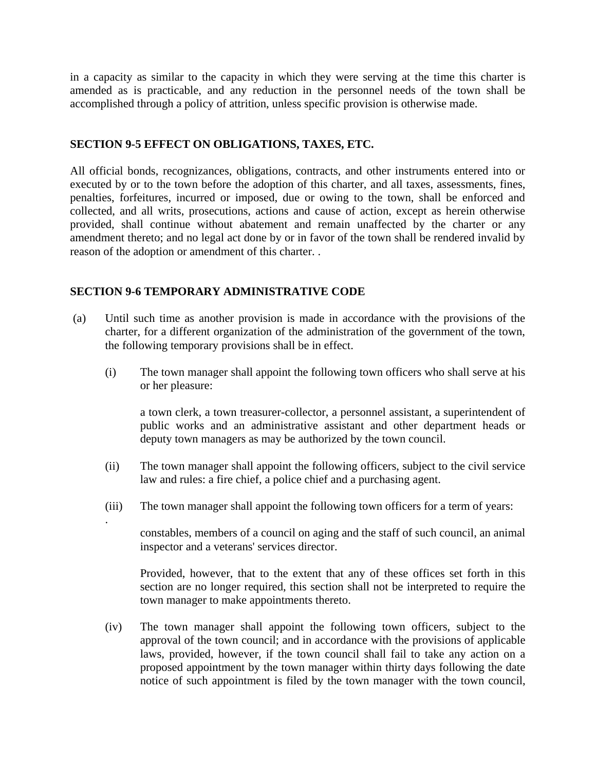in a capacity as similar to the capacity in which they were serving at the time this charter is amended as is practicable, and any reduction in the personnel needs of the town shall be accomplished through a policy of attrition, unless specific provision is otherwise made.

### **SECTION 9-5 EFFECT ON OBLIGATIONS, TAXES, ETC.**

All official bonds, recognizances, obligations, contracts, and other instruments entered into or executed by or to the town before the adoption of this charter, and all taxes, assessments, fines, penalties, forfeitures, incurred or imposed, due or owing to the town, shall be enforced and collected, and all writs, prosecutions, actions and cause of action, except as herein otherwise provided, shall continue without abatement and remain unaffected by the charter or any amendment thereto; and no legal act done by or in favor of the town shall be rendered invalid by reason of the adoption or amendment of this charter. .

### **SECTION 9-6 TEMPORARY ADMINISTRATIVE CODE**

.

- (a) Until such time as another provision is made in accordance with the provisions of the charter, for a different organization of the administration of the government of the town, the following temporary provisions shall be in effect.
	- (i) The town manager shall appoint the following town officers who shall serve at his or her pleasure:

a town clerk, a town treasurer-collector, a personnel assistant, a superintendent of public works and an administrative assistant and other department heads or deputy town managers as may be authorized by the town council.

- (ii) The town manager shall appoint the following officers, subject to the civil service law and rules: a fire chief, a police chief and a purchasing agent.
- (iii) The town manager shall appoint the following town officers for a term of years:

constables, members of a council on aging and the staff of such council, an animal inspector and a veterans' services director.

Provided, however, that to the extent that any of these offices set forth in this section are no longer required, this section shall not be interpreted to require the town manager to make appointments thereto.

(iv) The town manager shall appoint the following town officers, subject to the approval of the town council; and in accordance with the provisions of applicable laws, provided, however, if the town council shall fail to take any action on a proposed appointment by the town manager within thirty days following the date notice of such appointment is filed by the town manager with the town council,